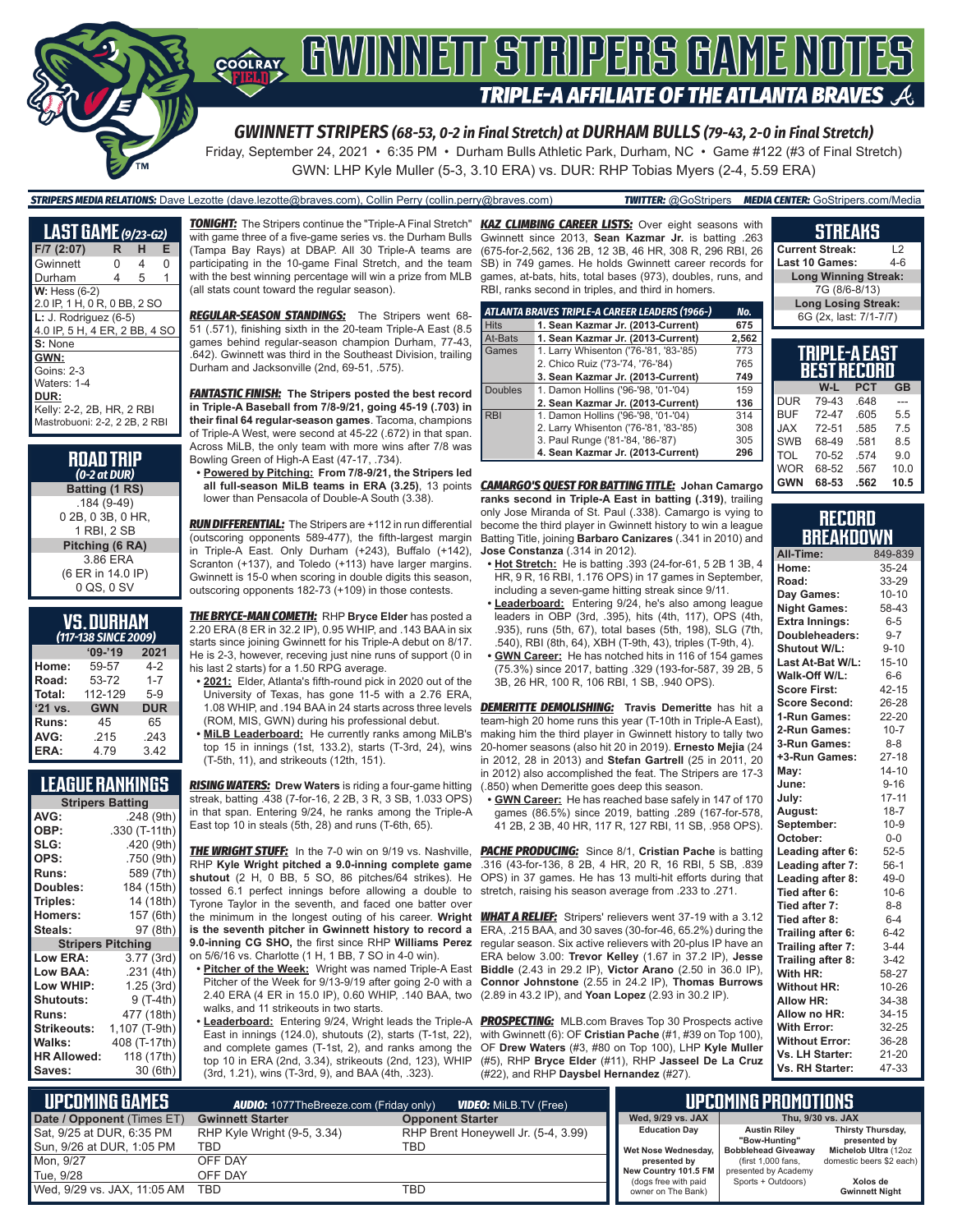

Friday, September 24, 2021 • 6:35 PM • Durham Bulls Athletic Park, Durham, NC • Game #122 (#3 of Final Stretch) GWN: LHP Kyle Muller (5-3, 3.10 ERA) vs. DUR: RHP Tobias Myers (2-4, 5.59 ERA)

#### *STRIPERS MEDIA RELATIONS:* Dave Lezotte (dave.lezotte@braves.com), Collin Perry (collin.perry@braves.com) *TWITTER:* @GoStripers *MEDIA CENTER:* GoStripers.com/Media

| <b>LAST GAME</b> (9/23-62)    |   |   |   |
|-------------------------------|---|---|---|
| $F/7$ (2:07)                  | R | н | Е |
| Gwinnett                      | ი | 4 | ი |
| Durham                        | 4 | 5 | 1 |
| $W:$ Hess $(6-2)$             |   |   |   |
| 2.0 IP, 1 H, 0 R, 0 BB, 2 SO  |   |   |   |
| $L: J.$ Rodriguez $(6-5)$     |   |   |   |
| 4.0 IP, 5 H, 4 ER, 2 BB, 4 SO |   |   |   |
| S: None                       |   |   |   |
| GWN:                          |   |   |   |
| <b>Goins: 2-3</b>             |   |   |   |
| Waters: 1-4                   |   |   |   |
| DUR:                          |   |   |   |
| Kelly: 2-2, 2B, HR, 2 RBI     |   |   |   |
| Mastrobuoni: 2-2, 2 2B, 2 RBI |   |   |   |

**ROAD TRIP** *(0-2 at DUR)* **Batting (1 RS)** .184 (9-49) 0 2B, 0 3B, 0 HR, 1 RBI, 2 SB **Pitching (6 RA)** 3.86 ERA (6 ER in 14.0 IP) 0 QS, 0 SV

#### **VS. DURHAM**

| (117-138 SINCE 2009) |            |            |  |  |
|----------------------|------------|------------|--|--|
|                      | $'09-'19$  | 2021       |  |  |
| Home:                | 59-57      | $4-2$      |  |  |
| Road:                | 53-72      | $1 - 7$    |  |  |
| Total:               | 112-129    | $5 - 9$    |  |  |
| '21 vs.              | <b>GWN</b> | <b>DUR</b> |  |  |
| Runs:                | 45         | 65         |  |  |
| AVG:                 | .215       | .243       |  |  |
| ERA:                 | 4.79       | 3.42       |  |  |

### **LEAGUE RANKINGS**

| <b>Stripers Batting</b> |                 |
|-------------------------|-----------------|
| AVG:                    | .248 (9th)      |
| OBP:                    | .330 (T-11th)   |
| SLG:                    | .420(9th)       |
| OPS:                    | .750 (9th)      |
| <b>Runs:</b>            | 589 (7th)       |
| Doubles:                | 184 (15th)      |
| Triples:                | 14 (18th)       |
| <b>Homers:</b>          | 157 (6th)       |
| Steals:                 | 97 (8th)        |
| <b>Stripers</b>         | <b>Pitching</b> |
| <b>Low ERA:</b>         | 3.77 (3rd)      |
| Low BAA:                | .231(4th)       |
| Low WHIP:               | 1.25(3rd)       |
| Shutouts:               | 9 (T-4th)       |
| <b>Runs:</b>            | 477 (18th)      |
| <b>Strikeouts:</b>      | 1,107 (T-9th)   |
| Walks:                  | 408 (T-17th)    |
| <b>HR Allowed:</b>      | 118 (17th)      |
| Saves:                  | 30 (6th)        |

*TONIGHT:* The Stripers continue the "Triple-A Final Stretch" with game three of a five-game series vs. the Durham Bulls (Tampa Bay Rays) at DBAP. All 30 Triple-A teams are participating in the 10-game Final Stretch, and the team with the best winning percentage will win a prize from MLB (all stats count toward the regular season).

*REGULAR-SEASON STANDINGS:* The Stripers went 68- 51 (.571), finishing sixth in the 20-team Triple-A East (8.5 games behind regular-season champion Durham, 77-43, .642). Gwinnett was third in the Southeast Division, trailing Durham and Jacksonville (2nd, 69-51, .575).

*FANTASTIC FINISH:* **The Stripers posted the best record in Triple-A Baseball from 7/8-9/21, going 45-19 (.703) in their final 64 regular-season games**. Tacoma, champions of Triple-A West, were second at 45-22 (.672) in that span. Across MiLB, the only team with more wins after 7/8 was Bowling Green of High-A East (47-17, .734).

**• Powered by Pitching: From 7/8-9/21, the Stripers led all full-season MiLB teams in ERA (3.25)**, 13 points lower than Pensacola of Double-A South (3.38).

*RUN DIFFERENTIAL:* The Stripers are +112 in run differential (outscoring opponents 589-477), the fifth-largest margin in Triple-A East. Only Durham (+243), Buffalo (+142), Scranton (+137), and Toledo (+113) have larger margins. Gwinnett is 15-0 when scoring in double digits this season, outscoring opponents 182-73 (+109) in those contests.

*THE BRYCE-MAN COMETH:* RHP **Bryce Elder** has posted a 2.20 ERA (8 ER in 32.2 IP), 0.95 WHIP, and .143 BAA in six starts since joining Gwinnett for his Triple-A debut on 8/17. He is 2-3, however, receving just nine runs of support (0 in his last 2 starts) for a 1.50 RPG average.

**• 2021:** Elder, Atlanta's fifth-round pick in 2020 out of the University of Texas, has gone 11-5 with a 2.76 ERA, 1.08 WHIP, and .194 BAA in 24 starts across three levels (ROM, MIS, GWN) during his professional debut.

**• MiLB Leaderboard:** He currently ranks among MiLB's top 15 in innings (1st, 133.2), starts (T-3rd, 24), wins (T-5th, 11), and strikeouts (12th, 151).

*RISING WATERS:* **Drew Waters** is riding a four-game hitting streak, batting .438 (7-for-16, 2 2B, 3 R, 3 SB, 1.033 OPS) in that span. Entering 9/24, he ranks among the Triple-A East top 10 in steals (5th, 28) and runs (T-6th, 65).

*THE WRIGHT STUFF:* In the 7-0 win on 9/19 vs. Nashville, RHP **Kyle Wright pitched a 9.0-inning complete game shutout** (2 H, 0 BB, 5 SO, 86 pitches/64 strikes). He tossed 6.1 perfect innings before allowing a double to Tyrone Taylor in the seventh, and faced one batter over the minimum in the longest outing of his career. **Wright**  *WHAT A RELIEF:* Stripers' relievers went 37-19 with a 3.12 **is the seventh pitcher in Gwinnett history to record a 9.0-inning CG SHO,** the first since RHP **Williams Perez**  on 5/6/16 vs. Charlotte (1 H, 1 BB, 7 SO in 4-0 win).

**• Pitcher of the Week:** Wright was named Triple-A East Pitcher of the Week for 9/13-9/19 after going 2-0 with a 2.40 ERA (4 ER in 15.0 IP), 0.60 WHIP, .140 BAA, two walks, and 11 strikeouts in two starts.

**• Leaderboard:** Entering 9/24, Wright leads the Triple-A East in innings (124.0), shutouts (2), starts (T-1st, 22), and complete games (T-1st, 2), and ranks among the top 10 in ERA (2nd, 3.34), strikeouts (2nd, 123), WHIP (3rd, 1.21), wins (T-3rd, 9), and BAA (4th, .323).

**KAZ CLIMBING CAREER LISTS:** Over eight seasons with Gwinnett since 2013, **Sean Kazmar Jr.** is batting .263 (675-for-2,562, 136 2B, 12 3B, 46 HR, 308 R, 296 RBI, 26 SB) in 749 games. He holds Gwinnett career records for games, at-bats, hits, total bases (973), doubles, runs, and RBI, ranks second in triples, and third in homers.

|                | ATLANTA BRAVES TRIPLE-A CAREER LEADERS (1966-) | No.   |
|----------------|------------------------------------------------|-------|
| <b>Hits</b>    | 1. Sean Kazmar Jr. (2013-Current)              | 675   |
| At-Bats        | 1. Sean Kazmar Jr. (2013-Current)              | 2.562 |
| Games          | 1. Larry Whisenton ('76-'81, '83-'85)          | 773   |
|                | 2. Chico Ruiz ('73-'74, '76-'84)               | 765   |
|                | 3. Sean Kazmar Jr. (2013-Current)              | 749   |
| <b>Doubles</b> | 1. Damon Hollins ('96-'98, '01-'04)            | 159   |
|                | 2. Sean Kazmar Jr. (2013-Current)              | 136   |
| <b>RBI</b>     | 1. Damon Hollins ('96-'98, '01-'04)            | 314   |
|                | 2. Larry Whisenton ('76-'81, '83-'85)          | 308   |
|                | 3. Paul Runge ('81-'84, '86-'87)               | 305   |
|                | 4. Sean Kazmar Jr. (2013-Current)              | 296   |

*CAMARGO'S QUEST FOR BATTING TITLE:* **Johan Camargo ranks second in Triple-A East in batting (.319)**, trailing only Jose Miranda of St. Paul (.338). Camargo is vying to become the third player in Gwinnett history to win a league Batting Title, joining **Barbaro Canizares** (.341 in 2010) and **Jose Constanza** (.314 in 2012).

- **• Hot Stretch:** He is batting .393 (24-for-61, 5 2B 1 3B, 4 HR, 9 R, 16 RBI, 1.176 OPS) in 17 games in September, including a seven-game hitting streak since 9/11.
- **• Leaderboard:** Entering 9/24, he's also among league leaders in OBP (3rd, .395), hits (4th, 117), OPS (4th, .935), runs (5th, 67), total bases (5th, 198), SLG (7th, .540), RBI (8th, 64), XBH (T-9th, 43), triples (T-9th, 4).
- **• GWN Career:** He has notched hits in 116 of 154 games (75.3%) since 2017, batting .329 (193-for-587, 39 2B, 5 3B, 26 HR, 100 R, 106 RBI, 1 SB, .940 OPS).

*DEMERITTE DEMOLISHING:* **Travis Demeritte** has hit a team-high 20 home runs this year (T-10th in Triple-A East), making him the third player in Gwinnett history to tally two 20-homer seasons (also hit 20 in 2019). **Ernesto Mejia** (24 in 2012, 28 in 2013) and **Stefan Gartrell** (25 in 2011, 20 in 2012) also accomplished the feat. The Stripers are 17-3 (.850) when Demeritte goes deep this season.

**• GWN Career:** He has reached base safely in 147 of 170 games (86.5%) since 2019, batting .289 (167-for-578, 41 2B, 2 3B, 40 HR, 117 R, 127 RBI, 11 SB, .958 OPS).

**PACHE PRODUCING:** Since 8/1, Cristian Pache is batting .316 (43-for-136, 8 2B, 4 HR, 20 R, 16 RBI, 5 SB, .839 OPS) in 37 games. He has 13 multi-hit efforts during that stretch, raising his season average from .233 to .271.

ERA, .215 BAA, and 30 saves (30-for-46, 65.2%) during the regular season. Six active relievers with 20-plus IP have an ERA below 3.00: **Trevor Kelley** (1.67 in 37.2 IP), **Jesse Biddle** (2.43 in 29.2 IP), **Victor Arano** (2.50 in 36.0 IP), **Connor Johnstone** (2.55 in 24.2 IP), **Thomas Burrows** (2.89 in 43.2 IP), and **Yoan Lopez** (2.93 in 30.2 IP).

**PROSPECTING:** MLB.com Braves Top 30 Prospects active with Gwinnett (6): OF **Cristian Pache** (#1, #39 on Top 100), OF **Drew Waters** (#3, #80 on Top 100), LHP **Kyle Muller** (#5), RHP **Bryce Elder** (#11), RHP **Jasseel De La Cruz** (#22), and RHP **Daysbel Hernandez** (#27).

#### **TRIPLE-A EAST Current Streak:** L2 **Last 10 Games: Long Winning Streak:** 7G (8/6-8/13) **Long Losing Streak:** 6G (2x, last: 7/1-7/7)

**STREAKS**

|            | Best record |            |           |
|------------|-------------|------------|-----------|
|            | W-L         | <b>PCT</b> | <b>GB</b> |
| <b>DUR</b> | 79-43       | .648       |           |
| <b>BUF</b> | 72-47       | .605       | 5.5       |
| <b>JAX</b> | 72-51       | .585       | 7.5       |
| <b>SWB</b> | 68-49       | .581       | 8.5       |
| <b>TOL</b> | 70-52       | .574       | 9.0       |
| <b>WOR</b> | 68-52       | .567       | 10.0      |
| <b>GWN</b> | 68-53       | .562       | 10.5      |

| <b>RECORD</b>    |  |
|------------------|--|
| <b>BREAKDOWN</b> |  |

| All-Time:             | 849-839   |
|-----------------------|-----------|
| Home:                 | 35-24     |
| Road:                 | 33-29     |
| Day Games:            | $10 - 10$ |
| <b>Night Games:</b>   | 58-43     |
| <b>Extra Innings:</b> | $6 - 5$   |
| Doubleheaders:        | $9 - 7$   |
| <b>Shutout W/L:</b>   | $9 - 10$  |
| Last At-Bat W/L:      | $15 - 10$ |
| Walk-Off W/L:         | $6-6$     |
| <b>Score First:</b>   | $42 - 15$ |
| <b>Score Second:</b>  | 26-28     |
| 1-Run Games:          | 22-20     |
| 2-Run Games:          | $10 - 7$  |
| 3-Run Games:          | $8 - 8$   |
| +3-Run Games:         | $27 - 18$ |
| May:                  | $14 - 10$ |
| June:                 | $9 - 16$  |
| July:                 | $17 - 11$ |
| August:               | $18 - 7$  |
| September:            | $10-9$    |
| October:              | $0-0$     |
| Leading after 6:      | $52 - 5$  |
| Leading after 7:      | $56-1$    |
| Leading after 8:      | 49-0      |
| Tied after 6:         | $10-6$    |
| Tied after 7:         | $8 - 8$   |
| Tied after 8:         | $6 - 4$   |
| Trailing after 6:     | $6 - 42$  |
| Trailing after 7:     | $3-44$    |
| Trailing after 8:     | $3-42$    |
| With HR:              | 58-27     |
| <b>Without HR:</b>    | 10-26     |
| <b>Allow HR:</b>      | 34-38     |
| Allow no HR:          | $34 - 15$ |
| <b>With Error:</b>    | 32-25     |
| <b>Without Error:</b> | 36-28     |
| Vs. LH Starter:       | 21-20     |
| Vs. RH Starter:       | 47-33     |

| <b>UPCOMING GAMES</b><br><b>VIDEO:</b> MiLB.TV (Free)<br><b>AUDIO:</b> 1077TheBreeze.com (Friday only) |                             |                                     |                                              | UPCOMING PROMOTIONS                        |                                   |
|--------------------------------------------------------------------------------------------------------|-----------------------------|-------------------------------------|----------------------------------------------|--------------------------------------------|-----------------------------------|
| Date / Opponent (Times ET)                                                                             | <b>Gwinnett Starter</b>     | <b>Opponent Starter</b>             | Wed. 9/29 vs. JAX                            |                                            | Thu. 9/30 vs. JAX                 |
| Sat, 9/25 at DUR, 6:35 PM                                                                              | RHP Kyle Wright (9-5, 3.34) | RHP Brent Honeywell Jr. (5-4, 3.99) | <b>Education Day</b>                         | <b>Austin Rilev</b><br>"Bow-Huntina"       | Thirsty Thursday,<br>presented by |
| Sun, 9/26 at DUR, 1:05 PM                                                                              | TBD                         | TBD                                 | Wet Nose Wednesday,                          | <b>Bobblehead Giveaway</b>                 | Michelob Ultra (12oz              |
| Mon. 9/27                                                                                              | OFF DAY                     |                                     | presented by                                 | (first 1,000 fans,                         | domestic beers \$2 each)          |
| Tue, 9/28                                                                                              | OFF DAY                     |                                     | New Country 101.5 FM<br>(dogs free with paid | presented by Academy<br>Sports + Outdoors) | Xolos de                          |
| Wed, 9/29 vs. JAX, 11:05 AM                                                                            | <b>TBD</b>                  | TBD                                 | owner on The Bank)                           |                                            | <b>Gwinnett Night</b>             |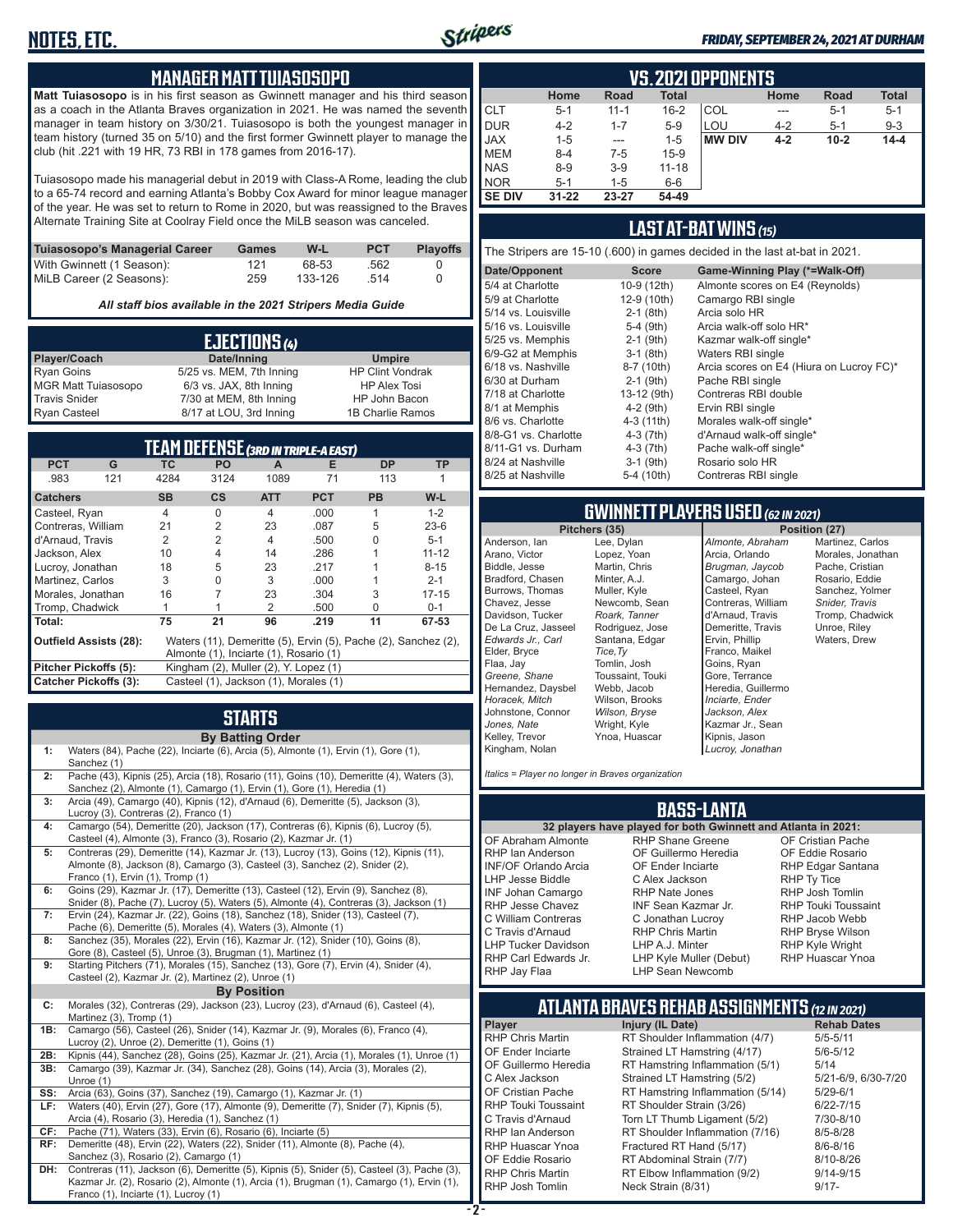

#### *FRIDAY, SEPTEMBER 24, 2021 AT DURHAM*

### **MANAGER MATT TUIASOSOPO**

**Matt Tuiasosopo** is in his first season as Gwinnett manager and his third season as a coach in the Atlanta Braves organization in 2021. He was named the seventh manager in team history on 3/30/21. Tuiasosopo is both the youngest manager in team history (turned 35 on 5/10) and the first former Gwinnett player to manage the club (hit .221 with 19 HR, 73 RBI in 178 games from 2016-17).

Tuiasosopo made his managerial debut in 2019 with Class-A Rome, leading the club to a 65-74 record and earning Atlanta's Bobby Cox Award for minor league manager of the year. He was set to return to Rome in 2020, but was reassigned to the Braves Alternate Training Site at Coolray Field once the MiLB season was canceled.

| Tuiasosopo's Managerial Career | Games | W-L     | <b>PCT</b> | <b>Plavoffs</b> |
|--------------------------------|-------|---------|------------|-----------------|
| With Gwinnett (1 Season):      | 121   | 68-53   | .562       |                 |
| MiLB Career (2 Seasons):       | 259   | 133-126 | - 514      |                 |

*All staff bios available in the 2021 Stripers Media Guide*

|                            | EJECTIONS (4)            |                         |
|----------------------------|--------------------------|-------------------------|
| Player/Coach               | Date/Inning              | <b>Umpire</b>           |
| <b>Ryan Goins</b>          | 5/25 vs. MEM, 7th Inning | <b>HP Clint Vondrak</b> |
| <b>MGR Matt Tuiasosopo</b> | 6/3 vs. JAX, 8th Inning  | <b>HP Alex Tosi</b>     |
| <b>Travis Snider</b>       | 7/30 at MEM, 8th Inning  | HP John Bacon           |
| <b>Ryan Casteel</b>        | 8/17 at LOU, 3rd Inning  | 1B Charlie Ramos        |

| TEAM DEFENSE (3RD IN TRIPLE-A EAST) |                |                |                                        |            |              |                                                                |
|-------------------------------------|----------------|----------------|----------------------------------------|------------|--------------|----------------------------------------------------------------|
| <b>PCT</b><br>G                     | <b>ТС</b>      | <b>PO</b>      | A                                      | Е          | <b>DP</b>    | <b>TP</b>                                                      |
| 121<br>.983                         | 4284           | 3124           | 1089                                   | 71         | 113          |                                                                |
| <b>Catchers</b>                     | <b>SB</b>      | $\mathsf{cs}$  | <b>ATT</b>                             | <b>PCT</b> | <b>PB</b>    | W-L                                                            |
| Casteel, Ryan                       | $\overline{4}$ | <sup>0</sup>   | 4                                      | .000       |              | $1 - 2$                                                        |
| Contreras, William                  | 21             | $\overline{2}$ | 23                                     | .087       | 5            | $23-6$                                                         |
| d'Arnaud. Travis                    | 2              | $\overline{2}$ | 4                                      | .500       | U            | $5 - 1$                                                        |
| Jackson, Alex                       | 10             | 4              | 14                                     | .286       |              | $11 - 12$                                                      |
| Lucroy, Jonathan                    | 18             | 5              | 23                                     | 217        |              | $8 - 15$                                                       |
| Martinez, Carlos                    | 3              | 0              | 3                                      | .000       |              | $2 - 1$                                                        |
| Morales, Jonathan                   | 16             |                | 23                                     | .304       | 3            | $17 - 15$                                                      |
| Tromp, Chadwick                     | 1              |                | 2                                      | .500       | <sup>n</sup> | $0 - 1$                                                        |
| Total:                              | 75             | 21             | 96                                     | .219       | 11           | 67-53                                                          |
| <b>Outfield Assists (28):</b>       |                |                |                                        |            |              | Waters (11), Demeritte (5), Ervin (5), Pache (2), Sanchez (2), |
|                                     |                |                | Almonte (1), Inciarte (1), Rosario (1) |            |              |                                                                |
| Pitcher Pickoffs (5):               |                |                | Kingham (2), Muller (2), Y. Lopez (1)  |            |              |                                                                |
| <b>Catcher Pickoffs (3):</b>        |                |                | Casteel (1), Jackson (1), Morales (1)  |            |              |                                                                |

# **STARTS**

|     | <b>By Batting Order</b>                                                                                                                                                                                    |
|-----|------------------------------------------------------------------------------------------------------------------------------------------------------------------------------------------------------------|
| 1:  | Waters (84), Pache (22), Inciarte (6), Arcia (5), Almonte (1), Ervin (1), Gore (1),<br>Sanchez (1)                                                                                                         |
| 2:  | Pache (43), Kipnis (25), Arcia (18), Rosario (11), Goins (10), Demeritte (4), Waters (3),<br>Sanchez (2), Almonte (1), Camargo (1), Ervin (1), Gore (1), Heredia (1)                                       |
| 3:  | Arcia (49), Camargo (40), Kipnis (12), d'Arnaud (6), Demeritte (5), Jackson (3),<br>Lucroy (3), Contreras (2), Franco (1)                                                                                  |
| 4:  | Camargo (54), Demeritte (20), Jackson (17), Contreras (6), Kipnis (6), Lucroy (5),<br>Casteel (4), Almonte (3), Franco (3), Rosario (2), Kazmar Jr. (1)                                                    |
| 5:  | Contreras (29), Demeritte (14), Kazmar Jr. (13), Lucroy (13), Goins (12), Kipnis (11),<br>Almonte (8), Jackson (8), Camargo (3), Casteel (3), Sanchez (2), Snider (2),<br>Franco (1), Ervin (1), Tromp (1) |
| 6:  | Goins (29), Kazmar Jr. (17), Demeritte (13), Casteel (12), Ervin (9), Sanchez (8),<br>Snider (8), Pache (7), Lucroy (5), Waters (5), Almonte (4), Contreras (3), Jackson (1)                               |
| 7:  | Ervin (24), Kazmar Jr. (22), Goins (18), Sanchez (18), Snider (13), Casteel (7),<br>Pache (6), Demeritte (5), Morales (4), Waters (3), Almonte (1)                                                         |
| 8:  | Sanchez (35), Morales (22), Ervin (16), Kazmar Jr. (12), Snider (10), Goins (8),<br>Gore (8), Casteel (5), Unroe (3), Brugman (1), Martinez (1)                                                            |
| 9:  | Starting Pitchers (71), Morales (15), Sanchez (13), Gore (7), Ervin (4), Snider (4),<br>Casteel (2), Kazmar Jr. (2), Martinez (2), Unroe (1)                                                               |
|     | <b>By Position</b>                                                                                                                                                                                         |
| C:  | Morales (32), Contreras (29), Jackson (23), Lucroy (23), d'Arnaud (6), Casteel (4),<br>Martinez (3), Tromp (1)                                                                                             |
| 1B: | Camargo (56), Casteel (26), Snider (14), Kazmar Jr. (9), Morales (6), Franco (4),<br>Lucroy (2), Unroe (2), Demeritte (1), Goins (1)                                                                       |
| 2B: | Kipnis (44), Sanchez (28), Goins (25), Kazmar Jr. (21), Arcia (1), Morales (1), Unroe (1)                                                                                                                  |
| 3B: | Camargo (39), Kazmar Jr. (34), Sanchez (28), Goins (14), Arcia (3), Morales (2),<br>Unroe $(1)$                                                                                                            |
| SS: | Arcia (63), Goins (37), Sanchez (19), Camargo (1), Kazmar Jr. (1)                                                                                                                                          |
| LF: | Waters (40), Ervin (27), Gore (17), Almonte (9), Demeritte (7), Snider (7), Kipnis (5),<br>Arcia (4), Rosario (3), Heredia (1), Sanchez (1)                                                                |
| CF: | Pache (71), Waters (33), Ervin (6), Rosario (6), Inciarte (5)                                                                                                                                              |
| RF: | Demeritte (48), Ervin (22), Waters (22), Snider (11), Almonte (8), Pache (4),<br>Sanchez (3), Rosario (2), Camargo (1)                                                                                     |
| DH: | Contreras (11), Jackson (6), Demeritte (5), Kipnis (5), Snider (5), Casteel (3), Pache (3),<br>Kazmar Jr. (2), Rosario (2), Almonte (1), Arcia (1), Brugman (1), Camargo (1), Ervin (1),                   |

Franco (1), Inciarte (1), Lucroy (1)

|               | <b>VS. 2021 OPPONENTS</b> |             |              |               |         |             |              |  |  |  |  |  |  |  |
|---------------|---------------------------|-------------|--------------|---------------|---------|-------------|--------------|--|--|--|--|--|--|--|
|               | Home                      | <b>Road</b> | <b>Total</b> |               | Home    | <b>Road</b> | <b>Total</b> |  |  |  |  |  |  |  |
| CLT           | $5 - 1$                   | $11 - 1$    | $16 - 2$     | COL           | ---     | $5 - 1$     | $5 - 1$      |  |  |  |  |  |  |  |
| <b>DUR</b>    | $4 - 2$                   | $1 - 7$     | $5-9$        | LOU           | $4 - 2$ | $5 - 1$     | $9 - 3$      |  |  |  |  |  |  |  |
| <b>JAX</b>    | $1 - 5$                   | ---         | $1 - 5$      | <b>MW DIV</b> | $4 - 2$ | $10 - 2$    | $14 - 4$     |  |  |  |  |  |  |  |
| <b>MEM</b>    | $8 - 4$                   | $7-5$       | $15-9$       |               |         |             |              |  |  |  |  |  |  |  |
| <b>NAS</b>    | $8 - 9$                   | $3-9$       | $11 - 18$    |               |         |             |              |  |  |  |  |  |  |  |
| <b>NOR</b>    | $5 - 1$                   | $1 - 5$     | $6-6$        |               |         |             |              |  |  |  |  |  |  |  |
| <b>SE DIV</b> | $31 - 22$                 | 23-27       | 54-49        |               |         |             |              |  |  |  |  |  |  |  |

### **LAST AT-BAT WINS** *(15)*

The Stripers are 15-10 (.600) in games decided in the last at-bat in 2021.

| Date/Opponent        | <b>Score</b> | Game-Winning Play (*=Walk-Off)           |
|----------------------|--------------|------------------------------------------|
| 5/4 at Charlotte     | 10-9 (12th)  | Almonte scores on E4 (Reynolds)          |
| 5/9 at Charlotte     | 12-9 (10th)  | Camargo RBI single                       |
| 5/14 vs. Louisville  | $2-1$ (8th)  | Arcia solo HR                            |
| 5/16 vs. Louisville  | $5-4$ (9th)  | Arcia walk-off solo HR*                  |
| 5/25 vs. Memphis     | $2-1$ (9th)  | Kazmar walk-off single*                  |
| 6/9-G2 at Memphis    | $3-1$ (8th)  | Waters RBI single                        |
| 6/18 vs. Nashville   | 8-7 (10th)   | Arcia scores on E4 (Hiura on Lucroy FC)* |
| 6/30 at Durham       | $2-1$ (9th)  | Pache RBI single                         |
| 7/18 at Charlotte    | 13-12 (9th)  | Contreras RBI double                     |
| 8/1 at Memphis       | $4-2$ (9th)  | Ervin RBI single                         |
| 8/6 vs. Charlotte    | 4-3 (11th)   | Morales walk-off single*                 |
| 8/8-G1 vs. Charlotte | $4-3(7th)$   | d'Arnaud walk-off single*                |
| 8/11-G1 vs. Durham   | $4-3(7th)$   | Pache walk-off single*                   |
| 8/24 at Nashville    | $3-1$ (9th)  | Rosario solo HR                          |
| 8/25 at Nashville    | 5-4 (10th)   | Contreras RBI single                     |
|                      |              |                                          |

# **GWINNETT PLAYERS USED** *(62 IN 2021)*

Anderson, Ian Arano, Victor Biddle, Jesse Bradford, Chasen Burrows, Thomas Chavez, Jesse Davidson, Tucker De La Cruz, Jasseel *Edwards Jr., Carl* Elder, Bryce Flaa, Jay *Greene, Shane*  Hernandez, Daysbel *Horacek, Mitch* Johnstone, Connor *Jones, Nate* Kelley, Trevor Kingham, Nolan Lee, Dylan

Lopez, Yoan Martin, Chris Minter, A.J. Muller, Kyle Newcomb, Sean *Roark, Tanner* Rodriguez, Jose Santana, Edgar Tomlin, Josh Toussaint, Touki Webb, Jacob Wilson, Brooks *Wilson, Bryse* Wright, Kyle Ynoa, Huascar *Almonte, Abraham* Arcia, Orlando *Brugman, Jaycob* Camargo, Johan Casteel, Ryan Contreras, William d'Arnaud, Travis Demeritte, Travis Ervin, Phillip Franco, Maikel Goins, Ryan Gore, Terrance Heredia, Guillermo *Inciarte, Ender Jackson, Alex* Kazmar Jr., Sean Kipnis, Jason *Lucroy, Jonathan*

**Position (27)** Martinez, Carlos Morales, Jonathan Pache, Cristian Rosario, Eddie Sanchez, Yolmer *Snider, Travis* Tromp, Chadwick Unroe, Riley Waters, Drew

*Italics = Player no longer in Braves organization*

*Tice,Ty*

### **BASS-LANTA**

OF Abraham Almonte RHP Ian Anderson INF/OF Orlando Arcia LHP Jesse Biddle INF Johan Camargo RHP Jesse Chavez C William Contreras C Travis d'Arnaud LHP Tucker Davidson RHP Carl Edwards Jr. RHP Jay Flaa

**32 players have played for both Gwinnett and Atlanta in 2021:** RHP Shane Greene OF Guillermo Heredia OF Ender Inciarte C Alex Jackson RHP Nate Jones INF Sean Kazmar Jr. C Jonathan Lucroy RHP Chris Martin LHP A.J. Minter LHP Kyle Muller (Debut) LHP Sean Newcomb

OF Cristian Pache OF Eddie Rosario RHP Edgar Santana RHP Ty Tice RHP Josh Tomlin RHP Touki Toussaint RHP Jacob Webb RHP Bryse Wilson RHP Kyle Wright RHP Huascar Ynoa

# **ATLANTA BRAVES REHAB ASSIGNMENTS** *(12 IN 2021)*

**Player Injury (IL Date)** RHP Chris Martin RT Shoulder Inflammation (4/7) 5/5-5/11<br>OF Ender Inciarte Strained LT Hamstring (4/17) 5/6-5/12 OF Ender Inciarte Strained LT Hamstring (4/17)<br>OF Guillermo Heredia RT Hamstring Inflammation (5) RT Hamstring Inflammation  $(5/1)$  5/14<br>Strained LT Hamstring  $(5/2)$  5/21-6/9, 6/30-7/20 C Alex Jackson Strained LT Hamstring (5/2) 5/21-6/9<br>CF Cristian Pache RT Hamstring Inflammation (5/14) 5/29-6/1 OF Cristian Pache RT Hamstring Inflammation (5/14) 5/29-6/1<br>RHP Touki Toussaint RT Shoulder Strain (3/26) 6/22-7/15 RT Shoulder Strain (3/26) C Travis d'Arnaud Torn LT Thumb Ligament (5/2) 7/30-8/10 RHP Ian Anderson RT Shoulder Inflammation (7/16) 8/5-8/28<br>RHP Huascar Ynoa Fractured RT Hand (5/17) 8/6-8/16 RHP Huascar Ynoa Fractured RT Hand (5/17) 8/6-8/16<br>OF Eddie Rosario RT Abdominal Strain (7/7) 8/10-8/26 OF Eddie Rosario RT Abdominal Strain (7/7)<br>RHP Chris Martin RT Elbow Inflammation (9 RHP Chris Martin RT Elbow Inflammation (9/2) 9/14-9/15 Neck Strain (8/31)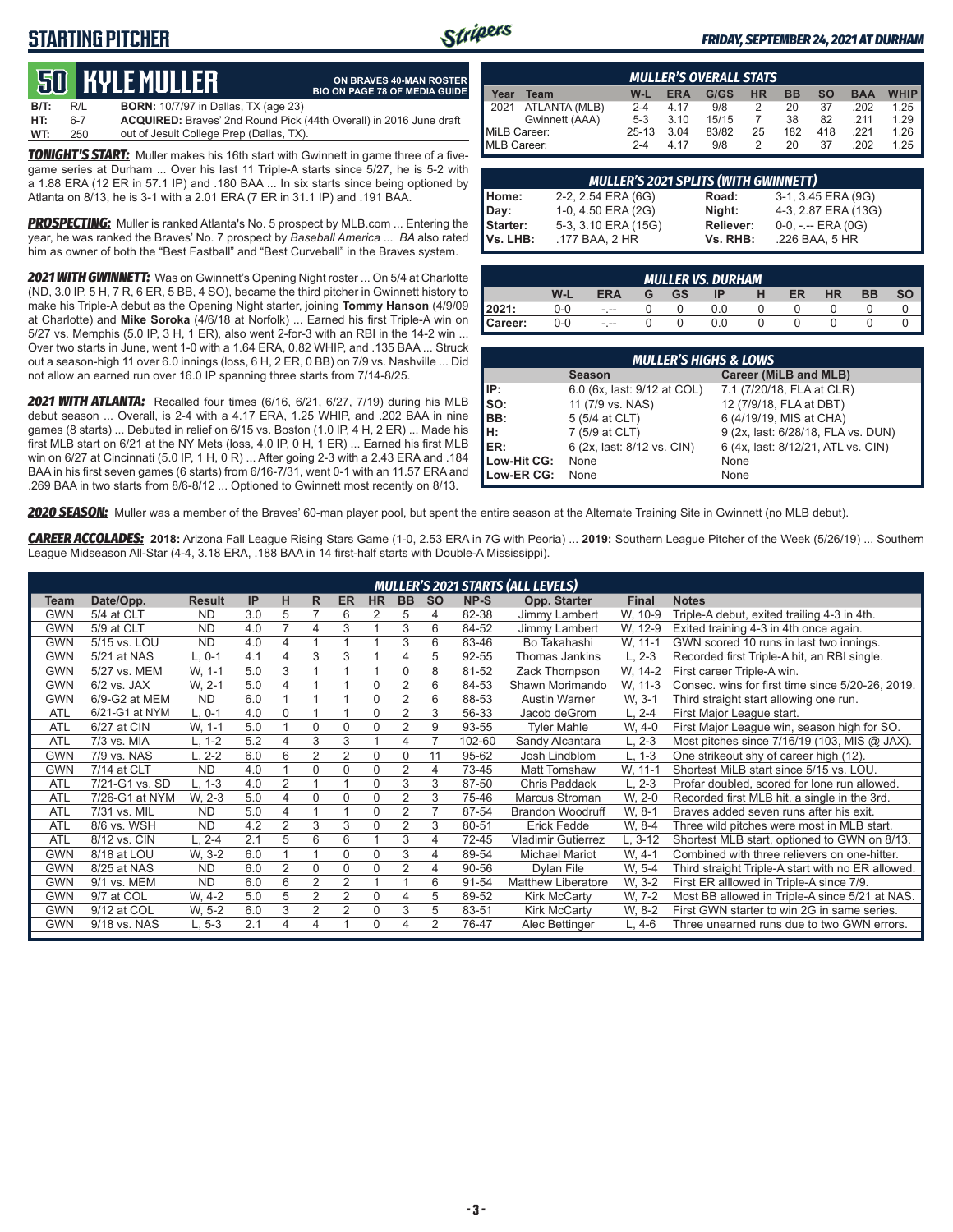# **STARTING PITCHER**



**ON BRAVES 40-MAN ROSTER BIO ON PAGE 78 OF MEDIA GUIDE**

#### *FRIDAY, SEPTEMBER 24, 2021 AT DURHAM*

# **50****KYLE MULLER**

**B/T:** R/L **BORN:** 10/7/97 in Dallas, TX (age 23) **HT:** 6-7 **ACQUIRED:** Braves' 2nd Round Pick (44th Overall) in 2016 June draft out of Jesuit College Prep (Dallas, TX)

*TONIGHT'S START:* Muller makes his 16th start with Gwinnett in game three of a fivegame series at Durham ... Over his last 11 Triple-A starts since 5/27, he is 5-2 with a 1.88 ERA (12 ER in 57.1 IP) and .180 BAA ... In six starts since being optioned by Atlanta on 8/13, he is 3-1 with a 2.01 ERA (7 ER in 31.1 IP) and .191 BAA.

*PROSPECTING:* Muller is ranked Atlanta's No. 5 prospect by MLB.com ... Entering the year, he was ranked the Braves' No. 7 prospect by *Baseball America* ... *BA* also rated him as owner of both the "Best Fastball" and "Best Curveball" in the Braves system.

*2021 WITH GWINNETT:* Was on Gwinnett's Opening Night roster ... On 5/4 at Charlotte (ND, 3.0 IP, 5 H, 7 R, 6 ER, 5 BB, 4 SO), became the third pitcher in Gwinnett history to make his Triple-A debut as the Opening Night starter, joining **Tommy Hanson** (4/9/09 at Charlotte) and **Mike Soroka** (4/6/18 at Norfolk) ... Earned his first Triple-A win on 5/27 vs. Memphis (5.0 IP, 3 H, 1 ER), also went 2-for-3 with an RBI in the 14-2 win ... Over two starts in June, went 1-0 with a 1.64 ERA, 0.82 WHIP, and .135 BAA ... Struck out a season-high 11 over 6.0 innings (loss, 6 H, 2 ER, 0 BB) on 7/9 vs. Nashville ... Did not allow an earned run over 16.0 IP spanning three starts from 7/14-8/25.

*2021 WITH ATLANTA:* Recalled four times (6/16, 6/21, 6/27, 7/19) during his MLB debut season ... Overall, is 2-4 with a 4.17 ERA, 1.25 WHIP, and .202 BAA in nine games (8 starts) ... Debuted in relief on 6/15 vs. Boston (1.0 IP, 4 H, 2 ER) ... Made his first MLB start on 6/21 at the NY Mets (loss, 4.0 IP, 0 H, 1 ER) ... Earned his first MLB win on 6/27 at Cincinnati (5.0 IP, 1 H, 0 R) ... After going 2-3 with a 2.43 ERA and .184 BAA in his first seven games (6 starts) from 6/16-7/31, went 0-1 with an 11.57 ERA and .269 BAA in two starts from 8/6-8/12 ... Optioned to Gwinnett most recently on 8/13.

|              | <b>MULLER'S OVERALL STATS</b> |         |            |       |           |           |     |            |             |  |  |  |  |  |
|--------------|-------------------------------|---------|------------|-------|-----------|-----------|-----|------------|-------------|--|--|--|--|--|
| Year         | Team                          | $W-L$   | <b>ERA</b> | G/GS  | <b>HR</b> | <b>BB</b> | SΟ  | <b>BAA</b> | <b>WHIP</b> |  |  |  |  |  |
| 2021         | ATLANTA (MLB)                 | $2 - 4$ | 4.17       | 9/8   |           | 20        | 37  | .202       | 1.25        |  |  |  |  |  |
|              | Gwinnett (AAA)                | $5-3$   | 3.10       | 15/15 |           | 38        | 82  | 211        | 1.29        |  |  |  |  |  |
| MiLB Career: |                               | $25-13$ | 3.04       | 83/82 | 25        | 182       | 418 | 221        | 1.26        |  |  |  |  |  |
| MLB Career:  |                               | $2 - 4$ | 4 17       | 9/8   |           | 20        | 37  | .202       | 1.25        |  |  |  |  |  |

|                 | <b>MULLER'S 2021 SPLITS (WITH GWINNETT)</b> |           |                       |
|-----------------|---------------------------------------------|-----------|-----------------------|
| Home:           | 2-2, 2.54 ERA (6G)                          | Road:     | 3-1, 3.45 ERA (9G)    |
| Day:            | 1-0, 4.50 ERA (2G)                          | Night:    | 4-3, 2.87 ERA (13G)   |
| Starter:        | 5-3, 3.10 ERA (15G)                         | Reliever: | $0-0, - -$ ERA $(0G)$ |
| <b>Vs. LHB:</b> | .177 BAA, 2 HR                              | Vs. RHB:  | .226 BAA, 5 HR        |

|         | MULLER VS. DURHAM |      |   |           |     |  |    |           |           |  |  |  |  |  |
|---------|-------------------|------|---|-----------|-----|--|----|-----------|-----------|--|--|--|--|--|
|         | W-L               | ERA  | G | <b>GS</b> | ΙP  |  | ER | <b>HR</b> | <b>BB</b> |  |  |  |  |  |
| 2021:   | 0-0               |      |   |           |     |  |    |           |           |  |  |  |  |  |
| Career: | $0-0$             | $ -$ |   |           | 0.0 |  |    |           |           |  |  |  |  |  |

|             | <b>MULLER'S HIGHS &amp; LOWS</b> |                                    |  |  |  |  |  |  |  |  |  |  |
|-------------|----------------------------------|------------------------------------|--|--|--|--|--|--|--|--|--|--|
|             | <b>Season</b>                    | Career (MiLB and MLB)              |  |  |  |  |  |  |  |  |  |  |
| IIP:        | 6.0 (6x, last: 9/12 at COL)      | 7.1 (7/20/18, FLA at CLR)          |  |  |  |  |  |  |  |  |  |  |
| Iso:        | 11 (7/9 vs. NAS)                 | 12 (7/9/18, FLA at DBT)            |  |  |  |  |  |  |  |  |  |  |
| BB:         | 5 (5/4 at CLT)                   | 6 (4/19/19, MIS at CHA)            |  |  |  |  |  |  |  |  |  |  |
| IH:         | 7 (5/9 at CLT)                   | 9 (2x, last: 6/28/18, FLA vs. DUN) |  |  |  |  |  |  |  |  |  |  |
| <b>IER:</b> | 6 (2x, last: 8/12 vs. CIN)       | 6 (4x, last: 8/12/21, ATL vs. CIN) |  |  |  |  |  |  |  |  |  |  |
| Low-Hit CG: | None                             | None                               |  |  |  |  |  |  |  |  |  |  |
| Low-ER CG:  | None                             | None                               |  |  |  |  |  |  |  |  |  |  |

*2020 SEASON:* Muller was a member of the Braves' 60-man player pool, but spent the entire season at the Alternate Training Site in Gwinnett (no MLB debut).

*CAREER ACCOLADES:* **2018:** Arizona Fall League Rising Stars Game (1-0, 2.53 ERA in 7G with Peoria) ... **2019:** Southern League Pitcher of the Week (5/26/19) ... Southern League Midseason All-Star (4-4, 3.18 ERA, .188 BAA in 14 first-half starts with Double-A Mississippi).

|            | <b>MULLER'S 2021 STARTS (ALL LEVELS)</b> |               |     |                |                |                |              |                |           |        |                           |              |                                                   |  |
|------------|------------------------------------------|---------------|-----|----------------|----------------|----------------|--------------|----------------|-----------|--------|---------------------------|--------------|---------------------------------------------------|--|
| Team       | Date/Opp.                                | <b>Result</b> | IP  | н              | R.             | <b>ER</b>      | <b>HR</b>    | <b>BB</b>      | <b>SO</b> | NP-S   | Opp. Starter              | <b>Final</b> | <b>Notes</b>                                      |  |
| <b>GWN</b> | 5/4 at CLT                               | <b>ND</b>     | 3.0 | 5              |                | 6              | 2            | 5              | 4         | 82-38  | Jimmy Lambert             | W, 10-9      | Triple-A debut, exited trailing 4-3 in 4th.       |  |
| <b>GWN</b> | 5/9 at CLT                               | <b>ND</b>     | 4.0 | $\overline{7}$ | 4              | 3              |              | 3              | 6         | 84-52  | Jimmy Lambert             | W, 12-9      | Exited training 4-3 in 4th once again.            |  |
| GWN        | 5/15 vs. LOU                             | <b>ND</b>     | 4.0 | 4              |                |                |              | 3              | 6         | 83-46  | Bo Takahashi              | W. 11-1      | GWN scored 10 runs in last two innings.           |  |
| GWN        | 5/21 at NAS                              | $L, 0-1$      | 4.1 | 4              | 3              | 3              |              | 4              | 5         | 92-55  | Thomas Jankins            | $L, 2-3$     | Recorded first Triple-A hit, an RBI single.       |  |
| <b>GWN</b> | 5/27 vs. MEM                             | W. 1-1        | 5.0 | 3              |                |                |              | 0              | 8         | 81-52  | Zack Thompson             | W. 14-2      | First career Triple-A win.                        |  |
| GWN        | $6/2$ vs. JAX                            | W. 2-1        | 5.0 | 4              |                |                | $\Omega$     | $\overline{2}$ | 6         | 84-53  | Shawn Morimando           | W. 11-3      | Consec. wins for first time since 5/20-26, 2019.  |  |
| <b>GWN</b> | 6/9-G2 at MEM                            | <b>ND</b>     | 6.0 |                |                |                | 0            | $\overline{2}$ | 6         | 88-53  | <b>Austin Warner</b>      | W. 3-1       | Third straight start allowing one run.            |  |
| ATL        | 6/21-G1 at NYM                           | L, 0-1        | 4.0 | $\Omega$       |                |                | $\Omega$     | $\overline{2}$ | 3         | 56-33  | Jacob deGrom              | $L, 2-4$     | First Major League start.                         |  |
| <b>ATL</b> | 6/27 at CIN                              | W. 1-1        | 5.0 |                | 0              | $\Omega$       | $\Omega$     | $\overline{2}$ | 9         | 93-55  | <b>Tyler Mahle</b>        | W, 4-0       | First Major League win, season high for SO.       |  |
| ATL        | 7/3 vs. MIA                              | L, 1-2        | 5.2 | 4              | 3              | 3              |              | 4              | 7         | 102-60 | Sandy Alcantara           | $L, 2-3$     | Most pitches since 7/16/19 (103, MIS @ JAX).      |  |
| <b>GWN</b> | 7/9 vs. NAS                              | $L, 2-2$      | 6.0 | 6              | 2              | 2              | $\Omega$     | $\Omega$       | 11        | 95-62  | Josh Lindblom             | $L. 1-3$     | One strikeout shy of career high (12).            |  |
| GWN        | 7/14 at CLT                              | <b>ND</b>     | 4.0 |                | 0              | $\mathbf 0$    | $\Omega$     | $\overline{2}$ | 4         | 73-45  | Matt Tomshaw              | W. 11-1      | Shortest MiLB start since 5/15 vs. LOU.           |  |
| ATL        | 7/21-G1 vs. SD                           | $L, 1-3$      | 4.0 | $\overline{2}$ |                |                | $\Omega$     | 3              | 3         | 87-50  | Chris Paddack             | $L, 2-3$     | Profar doubled, scored for lone run allowed.      |  |
| <b>ATL</b> | 7/26-G1 at NYM                           | W. 2-3        | 5.0 | 4              | 0              | $\mathbf 0$    | 0            | 2              | 3         | 75-46  | Marcus Stroman            | W, 2-0       | Recorded first MLB hit, a single in the 3rd.      |  |
| <b>ATL</b> | 7/31 vs. MIL                             | <b>ND</b>     | 5.0 | 4              |                |                | $\Omega$     | $\overline{2}$ | 7         | 87-54  | <b>Brandon Woodruff</b>   | W. 8-1       | Braves added seven runs after his exit.           |  |
| <b>ATL</b> | 8/6 vs. WSH                              | <b>ND</b>     | 4.2 | $\overline{2}$ | 3              | 3              | $\Omega$     | $\overline{2}$ | 3         | 80-51  | <b>Erick Fedde</b>        | W. 8-4       | Three wild pitches were most in MLB start.        |  |
| <b>ATL</b> | 8/12 vs. CIN                             | $L, 2-4$      | 2.1 | 5              | 6              | 6              |              | 3              | 4         | 72-45  | <b>Vladimir Gutierrez</b> | L, 3-12      | Shortest MLB start, optioned to GWN on 8/13.      |  |
| <b>GWN</b> | 8/18 at LOU                              | W. 3-2        | 6.0 |                |                | $\Omega$       | $\Omega$     | 3              | 4         | 89-54  | <b>Michael Mariot</b>     | W. 4-1       | Combined with three relievers on one-hitter.      |  |
| GWN        | 8/25 at NAS                              | <b>ND</b>     | 6.0 | $\overline{2}$ | 0              | 0              | $\mathbf{0}$ | $\overline{2}$ | 4         | 90-56  | Dylan File                | W, 5-4       | Third straight Triple-A start with no ER allowed. |  |
| <b>GWN</b> | 9/1 vs. MEM                              | <b>ND</b>     | 6.0 | 6              | $\overline{2}$ | $\overline{2}$ |              |                | 6         | 91-54  | <b>Matthew Liberatore</b> | W. 3-2       | First ER alllowed in Triple-A since 7/9.          |  |
| <b>GWN</b> | 9/7 at COL                               | W. 4-2        | 5.0 | 5              | 2              | $\overline{2}$ | 0            | 4              | 5         | 89-52  | <b>Kirk McCarty</b>       | W. 7-2       | Most BB allowed in Triple-A since 5/21 at NAS.    |  |
| GWN        | 9/12 at COL                              | W, 5-2        | 6.0 | 3              | 2              | $\overline{2}$ | $\Omega$     | 3              | 5         | 83-51  | <b>Kirk McCarty</b>       | W, 8-2       | First GWN starter to win 2G in same series.       |  |
| <b>GWN</b> | 9/18 vs. NAS                             | $L, 5-3$      | 2.1 | 4              | 4              |                | $\Omega$     | 4              | 2         | 76-47  | Alec Bettinger            | $L, 4-6$     | Three unearned runs due to two GWN errors.        |  |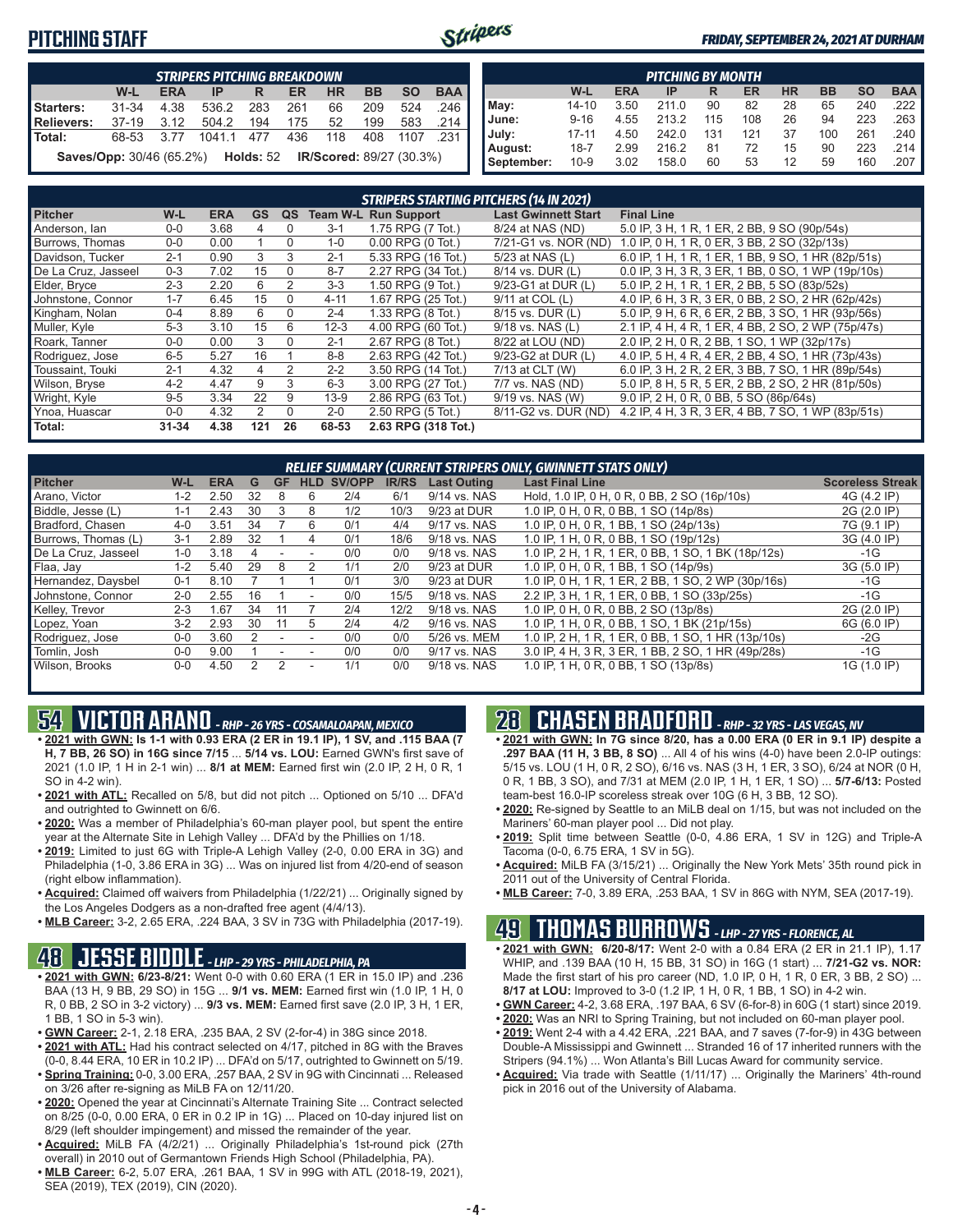### **PITCHING STAFF**



#### *FRIDAY, SEPTEMBER 24, 2021 AT DURHAM*

|            | STRIPERS PITCHING BREAKDOWN |            |                                                                    |     |                 |           |           |           |            |  |  |  |  |
|------------|-----------------------------|------------|--------------------------------------------------------------------|-----|-----------------|-----------|-----------|-----------|------------|--|--|--|--|
|            | W-L                         | <b>ERA</b> | IP                                                                 | R   | ER              | <b>HR</b> | <b>BB</b> | <b>SO</b> | <b>BAA</b> |  |  |  |  |
| Starters:  | $31 - 34$                   | 4.38       | 536.2                                                              | 283 | 261             | 66        | 209       | 524       | .246       |  |  |  |  |
| Relievers: | 37-19 3.12                  |            | 504.2                                                              | 194 | $\frac{175}{ }$ |           | 52 199    | 583       | .214 ∎     |  |  |  |  |
| l Total:   | 68-53                       | 3.77       | 1041.1 477 436                                                     |     |                 | 118       | 408       | 1107      | .231 I     |  |  |  |  |
|            |                             |            | <b>Saves/Opp:</b> 30/46 (65.2%) Holds: 52 IR/Scored: 89/27 (30.3%) |     |                 |           |           |           |            |  |  |  |  |

|            | <b>PITCHING BY MONTH</b> |            |       |     |     |           |           |           |            |  |  |  |  |  |
|------------|--------------------------|------------|-------|-----|-----|-----------|-----------|-----------|------------|--|--|--|--|--|
|            | W-L                      | <b>ERA</b> | IP    | R   | ER  | <b>HR</b> | <b>BB</b> | <b>SO</b> | <b>BAA</b> |  |  |  |  |  |
| May:       | $14 - 10$                | 3.50       | 211.0 | 90  | 82  | 28        | 65        | 240       | .222       |  |  |  |  |  |
| June:      | $9 - 16$                 | 4.55       | 213.2 | 115 | 108 | 26        | 94        | 223       | .263       |  |  |  |  |  |
| July:      | $17 - 11$                | 4.50       | 242.0 | 131 | 121 | 37        | 100       | 261       | .240       |  |  |  |  |  |
| August:    | $18 - 7$                 | 2.99       | 216.2 | 81  | 72  | 15        | 90        | 223       | .214       |  |  |  |  |  |
| September: | $10 - 9$                 | 3.02       | 158.0 | 60  | 53  | 12        | 59        | 160       | .207       |  |  |  |  |  |

|                     |           |            |                |          |          | <b>STRIPERS STARTING PITCHERS (14 IN 2021)</b> |                            |                                                    |
|---------------------|-----------|------------|----------------|----------|----------|------------------------------------------------|----------------------------|----------------------------------------------------|
| <b>Pitcher</b>      | W-L       | <b>ERA</b> | <b>GS</b>      | QS       |          | <b>Team W-L Run Support</b>                    | <b>Last Gwinnett Start</b> | <b>Final Line</b>                                  |
| Anderson, Ian       | $0 - 0$   | 3.68       | 4              | 0        | $3 - 1$  | 1.75 RPG (7 Tot.)                              | 8/24 at NAS (ND)           | 5.0 IP, 3 H, 1 R, 1 ER, 2 BB, 9 SO (90p/54s)       |
| Burrows. Thomas     | $0 - 0$   | 0.00       |                | $\Omega$ | $1 - 0$  | 0.00 RPG (0 Tot.)                              | 7/21-G1 vs. NOR (ND)       | 1.0 IP, 0 H, 1 R, 0 ER, 3 BB, 2 SO (32p/13s)       |
| Davidson, Tucker    | $2 - 1$   | 0.90       | 3              | 3        | $2 - 1$  | 5.33 RPG (16 Tot.)                             | 5/23 at NAS (L)            | 6.0 IP, 1 H, 1 R, 1 ER, 1 BB, 9 SO, 1 HR (82p/51s) |
| De La Cruz, Jasseel | $0 - 3$   | 7.02       | 15             | $\Omega$ | $8 - 7$  | 2.27 RPG (34 Tot.)                             | 8/14 vs. DUR (L)           | 0.0 IP, 3 H, 3 R, 3 ER, 1 BB, 0 SO, 1 WP (19p/10s) |
| Elder, Bryce        | $2 - 3$   | 2.20       | 6              | 2        | $3-3$    | 1.50 RPG (9 Tot.)                              | 9/23-G1 at DUR (L)         | 5.0 IP, 2 H, 1 R, 1 ER, 2 BB, 5 SO (83p/52s)       |
| Johnstone, Connor   | $1 - 7$   | 6.45       | 15             | 0        | $4 - 11$ | 1.67 RPG (25 Tot.)                             | 9/11 at COL (L)            | 4.0 IP, 6 H, 3 R, 3 ER, 0 BB, 2 SO, 2 HR (62p/42s) |
| Kingham, Nolan      | $0 - 4$   | 8.89       | 6              | $\Omega$ | $2 - 4$  | 1.33 RPG (8 Tot.)                              | 8/15 vs. DUR (L)           | 5.0 IP, 9 H, 6 R, 6 ER, 2 BB, 3 SO, 1 HR (93p/56s) |
| Muller, Kyle        | $5-3$     | 3.10       | 15             | 6        | $12 - 3$ | 4.00 RPG (60 Tot.)                             | 9/18 vs. NAS (L)           | 2.1 IP, 4 H, 4 R, 1 ER, 4 BB, 2 SO, 2 WP (75p/47s) |
| Roark, Tanner       | $0 - 0$   | 0.00       | 3              | $\Omega$ | $2 - 1$  | 2.67 RPG (8 Tot.)                              | 8/22 at LOU (ND)           | 2.0 IP, 2 H, 0 R, 2 BB, 1 SO, 1 WP (32p/17s)       |
| Rodriguez, Jose     | $6-5$     | 5.27       | 16             |          | $8 - 8$  | 2.63 RPG (42 Tot.)                             | 9/23-G2 at DUR (L)         | 4.0 IP, 5 H, 4 R, 4 ER, 2 BB, 4 SO, 1 HR (73p/43s) |
| Toussaint, Touki    | $2 - 1$   | 4.32       | 4              | 2        | $2 - 2$  | 3.50 RPG (14 Tot.)                             | 7/13 at CLT (W)            | 6.0 IP, 3 H, 2 R, 2 ER, 3 BB, 7 SO, 1 HR (89p/54s) |
| Wilson, Bryse       | $4 - 2$   | 4.47       | 9              | 3        | $6-3$    | 3.00 RPG (27 Tot.)                             | 7/7 vs. NAS (ND)           | 5.0 IP, 8 H, 5 R, 5 ER, 2 BB, 2 SO, 2 HR (81p/50s) |
| Wright, Kyle        | $9 - 5$   | 3.34       | 22             | 9        | $13-9$   | 2.86 RPG (63 Tot.)                             | 9/19 vs. NAS (W)           | 9.0 IP, 2 H, 0 R, 0 BB, 5 SO (86p/64s)             |
| Ynoa, Huascar       | $0 - 0$   | 4.32       | $\overline{2}$ | $\Omega$ | $2 - 0$  | 2.50 RPG (5 Tot.)                              | 8/11-G2 vs. DUR (ND)       | 4.2 IP, 4 H, 3 R, 3 ER, 4 BB, 7 SO, 1 WP (83p/51s) |
| Total:              | $31 - 34$ | 4.38       | 121            | 26       | 68-53    | 2.63 RPG (318 Tot.)                            |                            |                                                    |

|                     |         |            |    |    |                          |        |              |                    | <b>RELIEF SUMMARY (CURRENT STRIPERS ONLY, GWINNETT STATS ONLY)</b> |                         |
|---------------------|---------|------------|----|----|--------------------------|--------|--------------|--------------------|--------------------------------------------------------------------|-------------------------|
| <b>Pitcher</b>      | W-L     | <b>ERA</b> | G  | GF | HLD.                     | SV/OPP | <b>IR/RS</b> | <b>Last Outing</b> | <b>Last Final Line</b>                                             | <b>Scoreless Streak</b> |
| Arano, Victor       | $1 - 2$ | 2.50       | 32 |    | 6                        | 2/4    | 6/1          | 9/14 vs. NAS       | Hold, 1.0 IP, 0 H, 0 R, 0 BB, 2 SO (16p/10s)                       | 4G (4.2 IP)             |
| Biddle, Jesse (L)   | $1 - 1$ | 2.43       | 30 | З  | 8                        | 1/2    | 10/3         | 9/23 at DUR        | 1.0 IP. 0 H. 0 R. 0 BB. 1 SO (14p/8s)                              | 2G (2.0 IP)             |
| Bradford, Chasen    | $4 - 0$ | 3.51       | 34 |    | ĥ                        | 0/1    | 4/4          | 9/17 vs. NAS       | 1.0 IP, 0 H, 0 R, 1 BB, 1 SO (24p/13s)                             | 7G (9.1 IP)             |
| Burrows, Thomas (L) | $3 - 1$ | 2.89       | 32 |    | 4                        | 0/1    | 18/6         | 9/18 vs. NAS       | 1.0 IP. 1 H. 0 R. 0 BB. 1 SO (19p/12s)                             | 3G (4.0 IP)             |
| De La Cruz, Jasseel | $1 - 0$ | 3.18       | 4  |    | $\overline{\phantom{a}}$ | 0/0    | 0/0          | 9/18 vs. NAS       | 1.0 IP, 2 H, 1 R, 1 ER, 0 BB, 1 SO, 1 BK (18p/12s)                 | $-1G$                   |
| Flaa, Jay           | $1 - 2$ | 5.40       | 29 | 8  |                          | 1/1    | 2/0          | 9/23 at DUR        | 1.0 IP. 0 H. 0 R. 1 BB. 1 SO (14p/9s)                              | 3G (5.0 IP)             |
| Hernandez, Daysbel  | $0 - 1$ | 8.10       |    |    |                          | 0/1    | 3/0          | 9/23 at DUR        | 1.0 IP. 0 H. 1 R. 1 ER. 2 BB. 1 SO. 2 WP (30p/16s)                 | -1G                     |
| Johnstone, Connor   | $2 - 0$ | 2.55       | 16 |    | $\overline{\phantom{a}}$ | 0/0    | 15/5         | 9/18 vs. NAS       | 2.2 IP, 3 H, 1 R, 1 ER, 0 BB, 1 SO (33p/25s)                       | $-1G$                   |
| Kelley, Trevor      | $2 - 3$ | .67        | 34 |    |                          | 2/4    | 12/2         | 9/18 vs. NAS       | 1.0 IP, 0 H, 0 R, 0 BB, 2 SO (13p/8s)                              | 2G (2.0 IP)             |
| Lopez, Yoan         | $3-2$   | 2.93       | 30 |    | 5                        | 2/4    | 4/2          | 9/16 vs. NAS       | 1.0 IP, 1 H, 0 R, 0 BB, 1 SO, 1 BK (21p/15s)                       | 6G (6.0 IP)             |
| Rodriguez, Jose     | $0 - 0$ | 3.60       |    |    |                          | 0/0    | 0/0          | 5/26 vs. MEM       | 1.0 IP, 2 H, 1 R, 1 ER, 0 BB, 1 SO, 1 HR (13p/10s)                 | $-2G$                   |
| Tomlin, Josh        | $0 - 0$ | 9.00       |    |    |                          | 0/0    | 0/0          | 9/17 vs. NAS       | 3.0 IP, 4 H, 3 R, 3 ER, 1 BB, 2 SO, 1 HR (49p/28s)                 | -1G                     |
| Wilson, Brooks      | $0 - 0$ | 4.50       |    |    |                          | 1/1    | 0/0          | 9/18 vs. NAS       | 1.0 IP, 1 H, 0 R, 0 BB, 1 SO (13p/8s)                              | 1G (1.0 IP)             |

# **54 VICTOR ARANO** *- RHP - 26 YRS - COSAMALOAPAN, MEXICO*

- **• 2021 with GWN: Is 1-1 with 0.93 ERA (2 ER in 19.1 IP), 1 SV, and .115 BAA (7 H, 7 BB, 26 SO) in 16G since 7/15** ... **5/14 vs. LOU:** Earned GWN's first save of 2021 (1.0 IP, 1 H in 2-1 win) ... **8/1 at MEM:** Earned first win (2.0 IP, 2 H, 0 R, 1 SO in 4-2 win).
- **• 2021 with ATL:** Recalled on 5/8, but did not pitch ... Optioned on 5/10 ... DFA'd and outrighted to Gwinnett on 6/6.
- **• 2020:** Was a member of Philadelphia's 60-man player pool, but spent the entire year at the Alternate Site in Lehigh Valley ... DFA'd by the Phillies on 1/18.
- **• 2019:** Limited to just 6G with Triple-A Lehigh Valley (2-0, 0.00 ERA in 3G) and Philadelphia (1-0, 3.86 ERA in 3G) ... Was on injured list from 4/20-end of season (right elbow inflammation).
- **• Acquired:** Claimed off waivers from Philadelphia (1/22/21) ... Originally signed by the Los Angeles Dodgers as a non-drafted free agent (4/4/13).
- **• MLB Career:** 3-2, 2.65 ERA, .224 BAA, 3 SV in 73G with Philadelphia (2017-19).

# **48 JESSE BIDDLE** *- LHP - 29 YRS - PHILADELPHIA, PA*

- **• 2021 with GWN: 6/23-8/21:** Went 0-0 with 0.60 ERA (1 ER in 15.0 IP) and .236 BAA (13 H, 9 BB, 29 SO) in 15G ... **9/1 vs. MEM:** Earned first win (1.0 IP, 1 H, 0 R, 0 BB, 2 SO in 3-2 victory) ... **9/3 vs. MEM:** Earned first save (2.0 IP, 3 H, 1 ER, 1 BB, 1 SO in 5-3 win).
- **• GWN Career:** 2-1, 2.18 ERA, .235 BAA, 2 SV (2-for-4) in 38G since 2018.
- **• 2021 with ATL:** Had his contract selected on 4/17, pitched in 8G with the Braves (0-0, 8.44 ERA, 10 ER in 10.2 IP) ... DFA'd on 5/17, outrighted to Gwinnett on 5/19.
- **• Spring Training:** 0-0, 3.00 ERA, .257 BAA, 2 SV in 9G with Cincinnati ... Released on 3/26 after re-signing as MiLB FA on 12/11/20.
- **• 2020:** Opened the year at Cincinnati's Alternate Training Site ... Contract selected on 8/25 (0-0, 0.00 ERA, 0 ER in 0.2 IP in 1G) ... Placed on 10-day injured list on 8/29 (left shoulder impingement) and missed the remainder of the year.
- **• Acquired:** MiLB FA (4/2/21) ... Originally Philadelphia's 1st-round pick (27th overall) in 2010 out of Germantown Friends High School (Philadelphia, PA).
- **• MLB Career:** 6-2, 5.07 ERA, .261 BAA, 1 SV in 99G with ATL (2018-19, 2021), SEA (2019), TEX (2019), CIN (2020).

## **28 CHASEN BRADFORD** *- RHP - 32 YRS - LAS VEGAS, NV*

- **• 2021 with GWN: In 7G since 8/20, has a 0.00 ERA (0 ER in 9.1 IP) despite a .297 BAA (11 H, 3 BB, 8 SO)** ... All 4 of his wins (4-0) have been 2.0-IP outings: 5/15 vs. LOU (1 H, 0 R, 2 SO), 6/16 vs. NAS (3 H, 1 ER, 3 SO), 6/24 at NOR (0 H, 0 R, 1 BB, 3 SO), and 7/31 at MEM (2.0 IP, 1 H, 1 ER, 1 SO) ... **5/7-6/13:** Posted team-best 16.0-IP scoreless streak over 10G (6 H, 3 BB, 12 SO).
- **• 2020:** Re-signed by Seattle to an MiLB deal on 1/15, but was not included on the Mariners' 60-man player pool ... Did not play.
- **• 2019:** Split time between Seattle (0-0, 4.86 ERA, 1 SV in 12G) and Triple-A Tacoma (0-0, 6.75 ERA, 1 SV in 5G).
- **• Acquired:** MiLB FA (3/15/21) ... Originally the New York Mets' 35th round pick in 2011 out of the University of Central Florida.
- **• MLB Career:** 7-0, 3.89 ERA, .253 BAA, 1 SV in 86G with NYM, SEA (2017-19).

# **49 THOMAS BURROWS** *- LHP - 27 YRS - FLORENCE, AL*

- **• 2021 with GWN: 6/20-8/17:** Went 2-0 with a 0.84 ERA (2 ER in 21.1 IP), 1.17 WHIP, and .139 BAA (10 H, 15 BB, 31 SO) in 16G (1 start) ... **7/21-G2 vs. NOR:** Made the first start of his pro career (ND, 1.0 IP, 0 H, 1 R, 0 ER, 3 BB, 2 SO) ... **8/17 at LOU:** Improved to 3-0 (1.2 IP, 1 H, 0 R, 1 BB, 1 SO) in 4-2 win.
- **• GWN Career:** 4-2, 3.68 ERA, .197 BAA, 6 SV (6-for-8) in 60G (1 start) since 2019.
- **• 2020:** Was an NRI to Spring Training, but not included on 60-man player pool.
- **• 2019:** Went 2-4 with a 4.42 ERA, .221 BAA, and 7 saves (7-for-9) in 43G between Double-A Mississippi and Gwinnett ... Stranded 16 of 17 inherited runners with the Stripers (94.1%) ... Won Atlanta's Bill Lucas Award for community service.
- **• Acquired:** Via trade with Seattle (1/11/17) ... Originally the Mariners' 4th-round pick in 2016 out of the University of Alabama.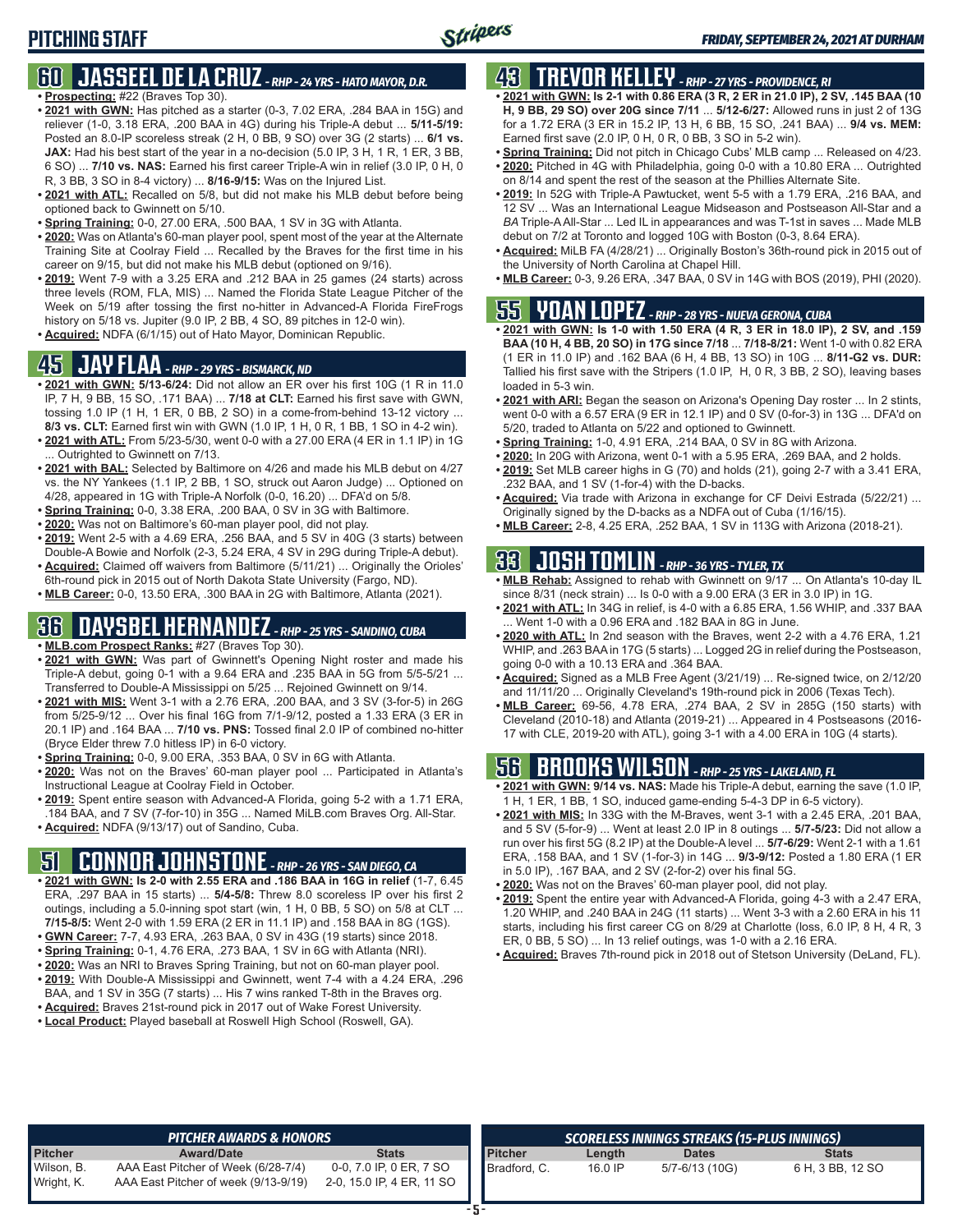#### **60 JASSEEL DE LA CRUZ** *- RHP - 24 YRS - HATO MAYOR, D.R.* **• Prospecting:** #22 (Braves Top 30).

- **• 2021 with GWN:** Has pitched as a starter (0-3, 7.02 ERA, .284 BAA in 15G) and reliever (1-0, 3.18 ERA, .200 BAA in 4G) during his Triple-A debut ... **5/11-5/19:** Posted an 8.0-IP scoreless streak (2 H, 0 BB, 9 SO) over 3G (2 starts) ... **6/1 vs. JAX:** Had his best start of the year in a no-decision (5.0 IP, 3 H, 1 R, 1 ER, 3 BB, 6 SO) ... **7/10 vs. NAS:** Earned his first career Triple-A win in relief (3.0 IP, 0 H, 0 R, 3 BB, 3 SO in 8-4 victory) ... **8/16-9/15:** Was on the Injured List.
- **• 2021 with ATL:** Recalled on 5/8, but did not make his MLB debut before being optioned back to Gwinnett on 5/10.
- **• Spring Training:** 0-0, 27.00 ERA, .500 BAA, 1 SV in 3G with Atlanta.
- **• 2020:** Was on Atlanta's 60-man player pool, spent most of the year at the Alternate Training Site at Coolray Field ... Recalled by the Braves for the first time in his career on 9/15, but did not make his MLB debut (optioned on 9/16).
- **• 2019:** Went 7-9 with a 3.25 ERA and .212 BAA in 25 games (24 starts) across three levels (ROM, FLA, MIS) ... Named the Florida State League Pitcher of the Week on 5/19 after tossing the first no-hitter in Advanced-A Florida FireFrogs history on 5/18 vs. Jupiter (9.0 IP, 2 BB, 4 SO, 89 pitches in 12-0 win).
- **• Acquired:** NDFA (6/1/15) out of Hato Mayor, Dominican Republic.

### **45 JAY FLAA** *- RHP - 29 YRS - BISMARCK, ND*

- **• 2021 with GWN: 5/13-6/24:** Did not allow an ER over his first 10G (1 R in 11.0 IP, 7 H, 9 BB, 15 SO, .171 BAA) ... **7/18 at CLT:** Earned his first save with GWN, tossing 1.0 IP (1 H, 1 ER, 0 BB, 2 SO) in a come-from-behind 13-12 victory ... **8/3 vs. CLT:** Earned first win with GWN (1.0 IP, 1 H, 0 R, 1 BB, 1 SO in 4-2 win).
- **• 2021 with ATL:** From 5/23-5/30, went 0-0 with a 27.00 ERA (4 ER in 1.1 IP) in 1G ... Outrighted to Gwinnett on 7/13.
- **• 2021 with BAL:** Selected by Baltimore on 4/26 and made his MLB debut on 4/27 vs. the NY Yankees (1.1 IP, 2 BB, 1 SO, struck out Aaron Judge) ... Optioned on 4/28, appeared in 1G with Triple-A Norfolk (0-0, 16.20) ... DFA'd on 5/8.
- **• Spring Training:** 0-0, 3.38 ERA, .200 BAA, 0 SV in 3G with Baltimore.
- **• 2020:** Was not on Baltimore's 60-man player pool, did not play.
- **• 2019:** Went 2-5 with a 4.69 ERA, .256 BAA, and 5 SV in 40G (3 starts) between Double-A Bowie and Norfolk (2-3, 5.24 ERA, 4 SV in 29G during Triple-A debut).
- **• Acquired:** Claimed off waivers from Baltimore (5/11/21) ... Originally the Orioles' 6th-round pick in 2015 out of North Dakota State University (Fargo, ND).
- **• MLB Career:** 0-0, 13.50 ERA, .300 BAA in 2G with Baltimore, Atlanta (2021).

### **36 DAYSBEL HERNANDEZ** *- RHP - 25 YRS - SANDINO, CUBA*

- **• MLB.com Prospect Ranks:** #27 (Braves Top 30).
- **• 2021 with GWN:** Was part of Gwinnett's Opening Night roster and made his Triple-A debut, going 0-1 with a 9.64 ERA and .235 BAA in 5G from 5/5-5/21 ... Transferred to Double-A Mississippi on 5/25 ... Rejoined Gwinnett on 9/14.
- **• 2021 with MIS:** Went 3-1 with a 2.76 ERA, .200 BAA, and 3 SV (3-for-5) in 26G from 5/25-9/12 ... Over his final 16G from 7/1-9/12, posted a 1.33 ERA (3 ER in 20.1 IP) and .164 BAA ... **7/10 vs. PNS:** Tossed final 2.0 IP of combined no-hitter (Bryce Elder threw 7.0 hitless IP) in 6-0 victory.
- **• Spring Training:** 0-0, 9.00 ERA, .353 BAA, 0 SV in 6G with Atlanta.
- **• 2020:** Was not on the Braves' 60-man player pool ... Participated in Atlanta's Instructional League at Coolray Field in October.
- **• 2019:** Spent entire season with Advanced-A Florida, going 5-2 with a 1.71 ERA, .184 BAA, and 7 SV (7-for-10) in 35G ... Named MiLB.com Braves Org. All-Star.
- **• Acquired:** NDFA (9/13/17) out of Sandino, Cuba.

# **51 CONNOR JOHNSTONE** *- RHP - 26 YRS - SAN DIEGO, CA*

- **• 2021 with GWN: Is 2-0 with 2.55 ERA and .186 BAA in 16G in relief** (1-7, 6.45 ERA, .297 BAA in 15 starts) ... **5/4-5/8:** Threw 8.0 scoreless IP over his first 2 outings, including a 5.0-inning spot start (win, 1 H, 0 BB, 5 SO) on 5/8 at CLT ... **7/15-8/5:** Went 2-0 with 1.59 ERA (2 ER in 11.1 IP) and .158 BAA in 8G (1GS).
- **• GWN Career:** 7-7, 4.93 ERA, .263 BAA, 0 SV in 43G (19 starts) since 2018.
- **• Spring Training:** 0-1, 4.76 ERA, .273 BAA, 1 SV in 6G with Atlanta (NRI).
- **• 2020:** Was an NRI to Braves Spring Training, but not on 60-man player pool.
- **• 2019:** With Double-A Mississippi and Gwinnett, went 7-4 with a 4.24 ERA, .296 BAA, and 1 SV in 35G (7 starts) ... His 7 wins ranked T-8th in the Braves org.
- **• Acquired:** Braves 21st-round pick in 2017 out of Wake Forest University.
- **• Local Product:** Played baseball at Roswell High School (Roswell, GA).

# **43 TREVOR KELLEY** *- RHP - 27 YRS - PROVIDENCE, RI*

- **• 2021 with GWN: Is 2-1 with 0.86 ERA (3 R, 2 ER in 21.0 IP), 2 SV, .145 BAA (10 H, 9 BB, 29 SO) over 20G since 7/11** ... **5/12-6/27:** Allowed runs in just 2 of 13G for a 1.72 ERA (3 ER in 15.2 IP, 13 H, 6 BB, 15 SO, .241 BAA) ... **9/4 vs. MEM:** Earned first save (2.0 IP, 0 H, 0 R, 0 BB, 3 SO in 5-2 win).
- **• Spring Training:** Did not pitch in Chicago Cubs' MLB camp ... Released on 4/23.
- **• 2020:** Pitched in 4G with Philadelphia, going 0-0 with a 10.80 ERA ... Outrighted on 8/14 and spent the rest of the season at the Phillies Alternate Site.
- **• 2019:** In 52G with Triple-A Pawtucket, went 5-5 with a 1.79 ERA, .216 BAA, and 12 SV ... Was an International League Midseason and Postseason All-Star and a *BA* Triple-A All-Star ... Led IL in appearances and was T-1st in saves ... Made MLB debut on 7/2 at Toronto and logged 10G with Boston (0-3, 8.64 ERA).
- **• Acquired:** MiLB FA (4/28/21) ... Originally Boston's 36th-round pick in 2015 out of the University of North Carolina at Chapel Hill.
- **• MLB Career:** 0-3, 9.26 ERA, .347 BAA, 0 SV in 14G with BOS (2019), PHI (2020).

# **55 YOAN LOPEZ** *- RHP - 28 YRS - NUEVA GERONA, CUBA*

- **• 2021 with GWN: Is 1-0 with 1.50 ERA (4 R, 3 ER in 18.0 IP), 2 SV, and .159 BAA (10 H, 4 BB, 20 SO) in 17G since 7/18** ... **7/18-8/21:** Went 1-0 with 0.82 ERA (1 ER in 11.0 IP) and .162 BAA (6 H, 4 BB, 13 SO) in 10G ... **8/11-G2 vs. DUR:** Tallied his first save with the Stripers (1.0 IP, H, 0 R, 3 BB, 2 SO), leaving bases loaded in 5-3 win.
- **• 2021 with ARI:** Began the season on Arizona's Opening Day roster ... In 2 stints, went 0-0 with a 6.57 ERA (9 ER in 12.1 IP) and 0 SV (0-for-3) in 13G ... DFA'd on 5/20, traded to Atlanta on 5/22 and optioned to Gwinnett.
- **• Spring Training:** 1-0, 4.91 ERA, .214 BAA, 0 SV in 8G with Arizona.
- **• 2020:** In 20G with Arizona, went 0-1 with a 5.95 ERA, .269 BAA, and 2 holds. **• 2019:** Set MLB career highs in G (70) and holds (21), going 2-7 with a 3.41 ERA,
- .232 BAA, and 1 SV (1-for-4) with the D-backs.
- **• Acquired:** Via trade with Arizona in exchange for CF Deivi Estrada (5/22/21) ... Originally signed by the D-backs as a NDFA out of Cuba (1/16/15).
- **• MLB Career:** 2-8, 4.25 ERA, .252 BAA, 1 SV in 113G with Arizona (2018-21).

# **33 JOSH TOMLIN** *- RHP - 36 YRS - TYLER, TX*

- **• MLB Rehab:** Assigned to rehab with Gwinnett on 9/17 ... On Atlanta's 10-day IL since 8/31 (neck strain) ... Is 0-0 with a 9.00 ERA (3 ER in 3.0 IP) in 1G.
- **• 2021 with ATL:** In 34G in relief, is 4-0 with a 6.85 ERA, 1.56 WHIP, and .337 BAA .Went 1-0 with a 0.96 ERA and .182 BAA in 8G in June
- **• 2020 with ATL:** In 2nd season with the Braves, went 2-2 with a 4.76 ERA, 1.21 WHIP, and .263 BAA in 17G (5 starts) ... Logged 2G in relief during the Postseason, going 0-0 with a 10.13 ERA and .364 BAA.
- **• Acquired:** Signed as a MLB Free Agent (3/21/19) ... Re-signed twice, on 2/12/20 and 11/11/20 ... Originally Cleveland's 19th-round pick in 2006 (Texas Tech).
- **• MLB Career:** 69-56, 4.78 ERA, .274 BAA, 2 SV in 285G (150 starts) with Cleveland (2010-18) and Atlanta (2019-21) ... Appeared in 4 Postseasons (2016- 17 with CLE, 2019-20 with ATL), going 3-1 with a 4.00 ERA in 10G (4 starts).

### **56 BROOKS WILSON** *- RHP - 25 YRS - LAKELAND, FL*

- **• 2021 with GWN: 9/14 vs. NAS:** Made his Triple-A debut, earning the save (1.0 IP, 1 H, 1 ER, 1 BB, 1 SO, induced game-ending 5-4-3 DP in 6-5 victory).
- **• 2021 with MIS:** In 33G with the M-Braves, went 3-1 with a 2.45 ERA, .201 BAA, and 5 SV (5-for-9) ... Went at least 2.0 IP in 8 outings ... **5/7-5/23:** Did not allow a run over his first 5G (8.2 IP) at the Double-A level ... **5/7-6/29:** Went 2-1 with a 1.61 ERA, .158 BAA, and 1 SV (1-for-3) in 14G ... **9/3-9/12:** Posted a 1.80 ERA (1 ER in 5.0 IP), .167 BAA, and 2 SV (2-for-2) over his final 5G.
- **• 2020:** Was not on the Braves' 60-man player pool, did not play.
- **• 2019:** Spent the entire year with Advanced-A Florida, going 4-3 with a 2.47 ERA, 1.20 WHIP, and .240 BAA in 24G (11 starts) ... Went 3-3 with a 2.60 ERA in his 11 starts, including his first career CG on 8/29 at Charlotte (loss, 6.0 IP, 8 H, 4 R, 3 ER, 0 BB, 5 SO) ... In 13 relief outings, was 1-0 with a 2.16 ERA.
- **• Acquired:** Braves 7th-round pick in 2018 out of Stetson University (DeLand, FL).

|                          | <b>PITCHER AWARDS &amp; HONORS</b>                                          |                                                      |                |         | SCORELESS INNINGS STREAKS (15-PLUS INNINGS) |                  |
|--------------------------|-----------------------------------------------------------------------------|------------------------------------------------------|----------------|---------|---------------------------------------------|------------------|
| <b>Pitcher</b>           | <b>Award/Date</b>                                                           | Stats                                                | <b>Pitcher</b> | Length  | <b>Dates</b>                                | <b>Stats</b>     |
| Wilson, B.<br>Wright, K. | AAA East Pitcher of Week (6/28-7/4)<br>AAA East Pitcher of week (9/13-9/19) | 0-0, 7.0 IP, 0 ER, 7 SO<br>2-0, 15.0 IP, 4 ER, 11 SO | Bradford, C.   | 16.0 IP | 5/7-6/13 (10G)                              | 6 H, 3 BB, 12 SO |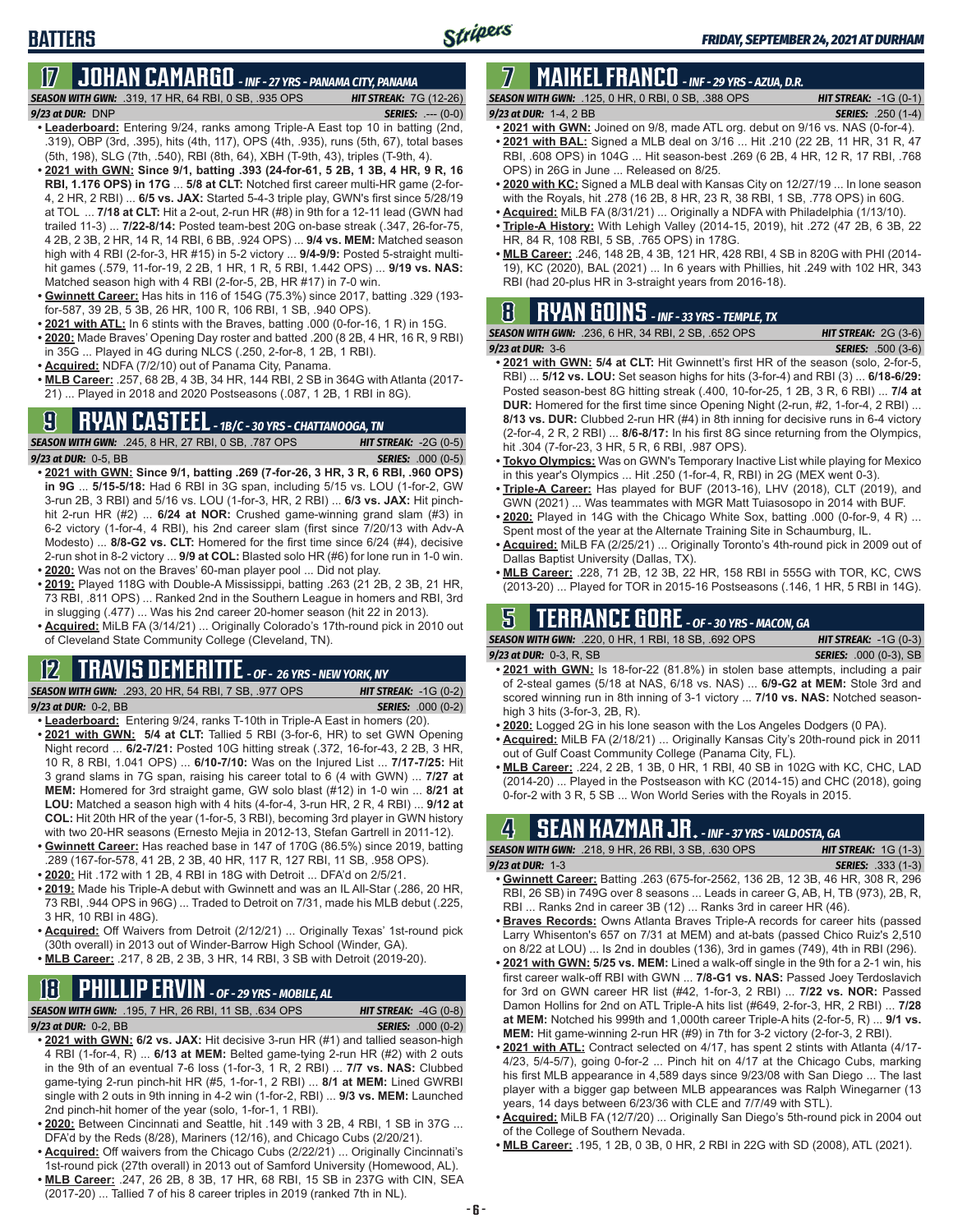# **17 JOHAN CAMARGO** *- INF - 27 YRS - PANAMA CITY, PANAMA*

*SEASON WITH GWN:*.319, 17 HR, 64 RBI, 0 SB, .935 OPS *HIT STREAK:* 7G (12-26) *9/23 at DUR:* DNP *SERIES:* .--- (0-0)

- **• Leaderboard:** Entering 9/24, ranks among Triple-A East top 10 in batting (2nd, .319), OBP (3rd, .395), hits (4th, 117), OPS (4th, .935), runs (5th, 67), total bases (5th, 198), SLG (7th, .540), RBI (8th, 64), XBH (T-9th, 43), triples (T-9th, 4).
- **• 2021 with GWN: Since 9/1, batting .393 (24-for-61, 5 2B, 1 3B, 4 HR, 9 R, 16 RBI, 1.176 OPS) in 17G** ... **5/8 at CLT:** Notched first career multi-HR game (2-for-4, 2 HR, 2 RBI) ... **6/5 vs. JAX:** Started 5-4-3 triple play, GWN's first since 5/28/19 at TOL ... **7/18 at CLT:** Hit a 2-out, 2-run HR (#8) in 9th for a 12-11 lead (GWN had trailed 11-3) ... **7/22-8/14:** Posted team-best 20G on-base streak (.347, 26-for-75, 4 2B, 2 3B, 2 HR, 14 R, 14 RBI, 6 BB, .924 OPS) ... **9/4 vs. MEM:** Matched season high with 4 RBI (2-for-3, HR #15) in 5-2 victory ... **9/4-9/9:** Posted 5-straight multihit games (.579, 11-for-19, 2 2B, 1 HR, 1 R, 5 RBI, 1.442 OPS) ... **9/19 vs. NAS:** Matched season high with 4 RBI (2-for-5, 2B, HR #17) in 7-0 win.
- **• Gwinnett Career:** Has hits in 116 of 154G (75.3%) since 2017, batting .329 (193 for-587, 39 2B, 5 3B, 26 HR, 100 R, 106 RBI, 1 SB, .940 OPS).
- **• 2021 with ATL:** In 6 stints with the Braves, batting .000 (0-for-16, 1 R) in 15G.
- **• 2020:** Made Braves' Opening Day roster and batted .200 (8 2B, 4 HR, 16 R, 9 RBI) in 35G ... Played in 4G during NLCS (.250, 2-for-8, 1 2B, 1 RBI).
- **• Acquired:** NDFA (7/2/10) out of Panama City, Panama.
- **• MLB Career:** .257, 68 2B, 4 3B, 34 HR, 144 RBI, 2 SB in 364G with Atlanta (2017- 21) ... Played in 2018 and 2020 Postseasons (.087, 1 2B, 1 RBI in 8G).

# **9 RYAN CASTEEL** *- 1B/C - 30 YRS - CHATTANOOGA, TN*

*SEASON WITH GWN:*.245, 8 HR, 27 RBI, 0 SB, .787 OPS *HIT STREAK:* -2G (0-5) *9/23 at DUR:*0-5, BB *SERIES:* .000 (0-5)

- **• 2021 with GWN: Since 9/1, batting .269 (7-for-26, 3 HR, 3 R, 6 RBI, .960 OPS) in 9G** ... **5/15-5/18:** Had 6 RBI in 3G span, including 5/15 vs. LOU (1-for-2, GW 3-run 2B, 3 RBI) and 5/16 vs. LOU (1-for-3, HR, 2 RBI) ... **6/3 vs. JAX:** Hit pinchhit 2-run HR (#2) ... **6/24 at NOR:** Crushed game-winning grand slam (#3) in 6-2 victory (1-for-4, 4 RBI), his 2nd career slam (first since 7/20/13 with Adv-A Modesto) ... **8/8-G2 vs. CLT:** Homered for the first time since 6/24 (#4), decisive 2-run shot in 8-2 victory ... **9/9 at COL:** Blasted solo HR (#6) for lone run in 1-0 win.
- **• 2020:** Was not on the Braves' 60-man player pool ... Did not play.
- **• 2019:** Played 118G with Double-A Mississippi, batting .263 (21 2B, 2 3B, 21 HR, 73 RBI, .811 OPS) ... Ranked 2nd in the Southern League in homers and RBI, 3rd in slugging (.477) ... Was his 2nd career 20-homer season (hit 22 in 2013).
- **• Acquired:** MiLB FA (3/14/21) ... Originally Colorado's 17th-round pick in 2010 out of Cleveland State Community College (Cleveland, TN).

### **12 TRAVIS DEMERITTE** *- OF - 26 YRS - NEW YORK, NY*

*SEASON WITH GWN:*.293, 20 HR, 54 RBI, 7 SB, .977 OPS *HIT STREAK:* -1G (0-2) *9/23 at DUR:*0-2, BB *SERIES:* .000 (0-2)

- **• Leaderboard:** Entering 9/24, ranks T-10th in Triple-A East in homers (20).
- **• 2021 with GWN: 5/4 at CLT:** Tallied 5 RBI (3-for-6, HR) to set GWN Opening Night record ... **6/2-7/21:** Posted 10G hitting streak (.372, 16-for-43, 2 2B, 3 HR, 10 R, 8 RBI, 1.041 OPS) ... **6/10-7/10:** Was on the Injured List ... **7/17-7/25:** Hit 3 grand slams in 7G span, raising his career total to 6 (4 with GWN) ... **7/27 at MEM:** Homered for 3rd straight game, GW solo blast (#12) in 1-0 win ... **8/21 at LOU:** Matched a season high with 4 hits (4-for-4, 3-run HR, 2 R, 4 RBI) ... **9/12 at COL:** Hit 20th HR of the year (1-for-5, 3 RBI), becoming 3rd player in GWN history with two 20-HR seasons (Ernesto Mejia in 2012-13, Stefan Gartrell in 2011-12).
- **• Gwinnett Career:** Has reached base in 147 of 170G (86.5%) since 2019, batting .289 (167-for-578, 41 2B, 2 3B, 40 HR, 117 R, 127 RBI, 11 SB, .958 OPS).
- **• 2020:** Hit .172 with 1 2B, 4 RBI in 18G with Detroit ... DFA'd on 2/5/21.
- **• 2019:** Made his Triple-A debut with Gwinnett and was an IL All-Star (.286, 20 HR, 73 RBI, .944 OPS in 96G) ... Traded to Detroit on 7/31, made his MLB debut (.225, 3 HR, 10 RBI in 48G).
- **• Acquired:** Off Waivers from Detroit (2/12/21) ... Originally Texas' 1st-round pick (30th overall) in 2013 out of Winder-Barrow High School (Winder, GA).
- **• MLB Career:** .217, 8 2B, 2 3B, 3 HR, 14 RBI, 3 SB with Detroit (2019-20).

# **18 PHILLIP ERVIN** *- OF - 29 YRS - MOBILE, AL*

*SEASON WITH GWN:*.195, 7 HR, 26 RBI, 11 SB, .634 OPS *HIT STREAK:* -4G (0-8)

*9/23 at DUR:*0-2, BB *SERIES:* .000 (0-2)

- **• 2021 with GWN: 6/2 vs. JAX:** Hit decisive 3-run HR (#1) and tallied season-high 4 RBI (1-for-4, R) ... **6/13 at MEM:** Belted game-tying 2-run HR (#2) with 2 outs in the 9th of an eventual 7-6 loss (1-for-3, 1 R, 2 RBI) ... **7/7 vs. NAS:** Clubbed game-tying 2-run pinch-hit HR (#5, 1-for-1, 2 RBI) ... **8/1 at MEM:** Lined GWRBI single with 2 outs in 9th inning in 4-2 win (1-for-2, RBI) ... **9/3 vs. MEM:** Launched 2nd pinch-hit homer of the year (solo, 1-for-1, 1 RBI).
- **• 2020:** Between Cincinnati and Seattle, hit .149 with 3 2B, 4 RBI, 1 SB in 37G ... DFA'd by the Reds (8/28), Mariners (12/16), and Chicago Cubs (2/20/21).
- **• Acquired:** Off waivers from the Chicago Cubs (2/22/21) ... Originally Cincinnati's 1st-round pick (27th overall) in 2013 out of Samford University (Homewood, AL).
- **• MLB Career:** .247, 26 2B, 8 3B, 17 HR, 68 RBI, 15 SB in 237G with CIN, SEA (2017-20) ... Tallied 7 of his 8 career triples in 2019 (ranked 7th in NL).

# **7 MAIKEL FRANCO** *- INF - 29 YRS - AZUA, D.R.*

- *SEASON WITH GWN:*.125, 0 HR, 0 RBI, 0 SB, .388 OPS *HIT STREAK:* -1G (0-1) *9/23 at DUR:*1-4, 2 BB *SERIES:* .250 (1-4)
- **• 2021 with GWN:** Joined on 9/8, made ATL org. debut on 9/16 vs. NAS (0-for-4).
- **• 2021 with BAL:** Signed a MLB deal on 3/16 ... Hit .210 (22 2B, 11 HR, 31 R, 47 RBI, .608 OPS) in 104G ... Hit season-best .269 (6 2B, 4 HR, 12 R, 17 RBI, .768 OPS) in 26G in June ... Released on 8/25.
- **• 2020 with KC:** Signed a MLB deal with Kansas City on 12/27/19 ... In lone season with the Royals, hit .278 (16 2B, 8 HR, 23 R, 38 RBI, 1 SB, .778 OPS) in 60G.
- **• Acquired:** MiLB FA (8/31/21) ... Originally a NDFA with Philadelphia (1/13/10).
- **• Triple-A History:** With Lehigh Valley (2014-15, 2019), hit .272 (47 2B, 6 3B, 22 HR, 84 R, 108 RBI, 5 SB, .765 OPS) in 178G.
- **• MLB Career:** .246, 148 2B, 4 3B, 121 HR, 428 RBI, 4 SB in 820G with PHI (2014- 19), KC (2020), BAL (2021) ... In 6 years with Phillies, hit .249 with 102 HR, 343 RBI (had 20-plus HR in 3-straight years from 2016-18).

# **8 RYAN GOINS** *- INF - 33 YRS - TEMPLE, TX*

| <b>SEASON WITH GWN:</b> .236, 6 HR, 34 RBI, 2 SB, .652 OPS                                 | <b>HIT STREAK:</b> $2G(3-6)$ |
|--------------------------------------------------------------------------------------------|------------------------------|
| 9/23 at DUR: $3-6$                                                                         | <b>SERIES:</b> .500 (3-6)    |
| $\sim$ 0004 with CIMBL EIA at CLT. Hit Culturally first HD of the access (and $\sim$ fax E |                              |

- **• 2021 with GWN: 5/4 at CLT:** Hit Gwinnett's first HR of the season (solo, 2-for-5, RBI) ... **5/12 vs. LOU:** Set season highs for hits (3-for-4) and RBI (3) ... **6/18-6/29:** Posted season-best 8G hitting streak (.400, 10-for-25, 1 2B, 3 R, 6 RBI) ... **7/4 at DUR:** Homered for the first time since Opening Night (2-run, #2, 1-for-4, 2 RBI) ... **8/13 vs. DUR:** Clubbed 2-run HR (#4) in 8th inning for decisive runs in 6-4 victory (2-for-4, 2 R, 2 RBI) ... **8/6-8/17:** In his first 8G since returning from the Olympics, hit .304 (7-for-23, 3 HR, 5 R, 6 RBI, .987 OPS).
- **• Tokyo Olympics:** Was on GWN's Temporary Inactive List while playing for Mexico in this year's Olympics ... Hit .250 (1-for-4, R, RBI) in 2G (MEX went 0-3).
- **• Triple-A Career:** Has played for BUF (2013-16), LHV (2018), CLT (2019), and GWN (2021) ... Was teammates with MGR Matt Tuiasosopo in 2014 with BUF.
- **• 2020:** Played in 14G with the Chicago White Sox, batting .000 (0-for-9, 4 R) ... Spent most of the year at the Alternate Training Site in Schaumburg, IL.
- **• Acquired:** MiLB FA (2/25/21) ... Originally Toronto's 4th-round pick in 2009 out of Dallas Baptist University (Dallas, TX).
- **• MLB Career:** .228, 71 2B, 12 3B, 22 HR, 158 RBI in 555G with TOR, KC, CWS (2013-20) ... Played for TOR in 2015-16 Postseasons (.146, 1 HR, 5 RBI in 14G).

# **5 TERRANCE GORE** *- OF - 30 YRS - MACON, GA*

*SEASON WITH GWN:*.220, 0 HR, 1 RBI, 18 SB, .692 OPS *HIT STREAK:* -1G (0-3) *9/23 at DUR:*0-3, R, SB *SERIES:* .000 (0-3), SB

- **• 2021 with GWN:** Is 18-for-22 (81.8%) in stolen base attempts, including a pair of 2-steal games (5/18 at NAS, 6/18 vs. NAS) ... **6/9-G2 at MEM:** Stole 3rd and scored winning run in 8th inning of 3-1 victory ... **7/10 vs. NAS:** Notched seasonhigh 3 hits (3-for-3, 2B, R).
- **• 2020:** Logged 2G in his lone season with the Los Angeles Dodgers (0 PA).
- **• Acquired:** MiLB FA (2/18/21) ... Originally Kansas City's 20th-round pick in 2011 out of Gulf Coast Community College (Panama City, FL).
- **• MLB Career:** .224, 2 2B, 1 3B, 0 HR, 1 RBI, 40 SB in 102G with KC, CHC, LAD (2014-20) ... Played in the Postseason with KC (2014-15) and CHC (2018), going 0-for-2 with 3 R, 5 SB ... Won World Series with the Royals in 2015.

# **4 SEAN KAZMAR JR.** *- INF - 37 YRS - VALDOSTA, GA*

| <b>SEASON WITH GWN:</b> .218, 9 HR, 26 RBI, 3 SB, .630 OPS                | <b>HIT STREAK:</b> $1G(1-3)$ |
|---------------------------------------------------------------------------|------------------------------|
| 9/23 at DUR: $1-3$                                                        | <b>SERIES:</b> .333 (1-3)    |
| • Gwinnett Career: Batting 263 (675-for-2562 136 2B 12 3B 46 HR 308 R 296 |                              |

- **• Gwinnett Career:** Batting .263 (675-for-2562, 136 2B, 12 3B, 46 HR, 308 R, 296 RBI, 26 SB) in 749G over 8 seasons ... Leads in career G, AB, H, TB (973), 2B, R, RBI ... Ranks 2nd in career 3B (12) ... Ranks 3rd in career HR (46).
- **• Braves Records:** Owns Atlanta Braves Triple-A records for career hits (passed Larry Whisenton's 657 on 7/31 at MEM) and at-bats (passed Chico Ruiz's 2,510 on 8/22 at LOU) ... Is 2nd in doubles (136), 3rd in games (749), 4th in RBI (296).
- **• 2021 with GWN: 5/25 vs. MEM:** Lined a walk-off single in the 9th for a 2-1 win, his first career walk-off RBI with GWN ... **7/8-G1 vs. NAS:** Passed Joey Terdoslavich for 3rd on GWN career HR list (#42, 1-for-3, 2 RBI) ... **7/22 vs. NOR:** Passed Damon Hollins for 2nd on ATL Triple-A hits list (#649, 2-for-3, HR, 2 RBI) ... **7/28 at MEM:** Notched his 999th and 1,000th career Triple-A hits (2-for-5, R) ... **9/1 vs. MEM:** Hit game-winning 2-run HR (#9) in 7th for 3-2 victory (2-for-3, 2 RBI).
- **• 2021 with ATL:** Contract selected on 4/17, has spent 2 stints with Atlanta (4/17- 4/23, 5/4-5/7), going 0-for-2 ... Pinch hit on 4/17 at the Chicago Cubs, marking his first MLB appearance in 4,589 days since 9/23/08 with San Diego ... The last player with a bigger gap between MLB appearances was Ralph Winegarner (13 years, 14 days between 6/23/36 with CLE and 7/7/49 with STL).
- **• Acquired:** MiLB FA (12/7/20) ... Originally San Diego's 5th-round pick in 2004 out of the College of Southern Nevada.
- **• MLB Career:** .195, 1 2B, 0 3B, 0 HR, 2 RBI in 22G with SD (2008), ATL (2021).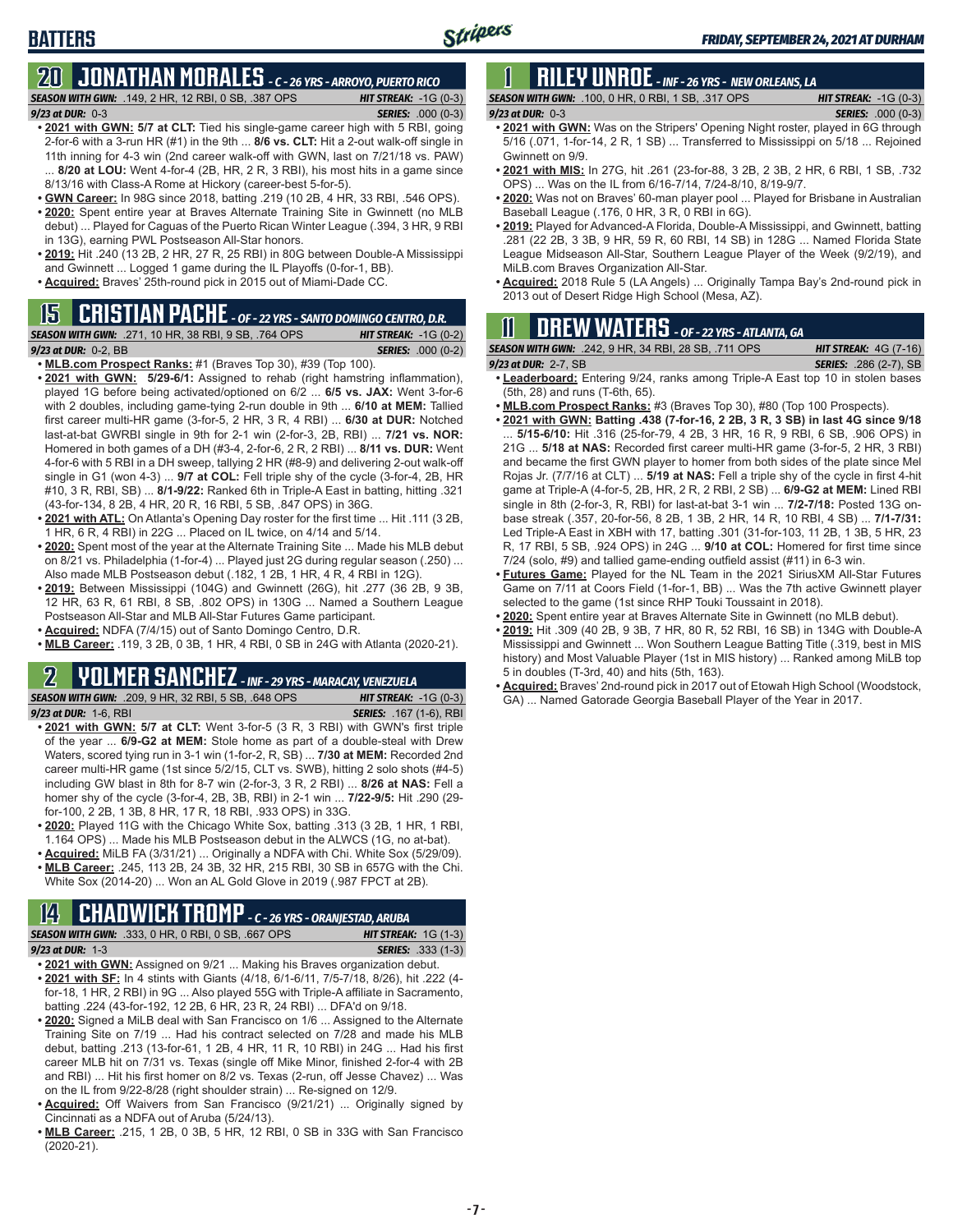# **BATTERS**

### **20 JONATHAN MORALES** *- C - 26 YRS - ARROYO, PUERTO RICO SEASON WITH GWN:*.149, 2 HR, 12 RBI, 0 SB, .387 OPS *HIT STREAK:* -1G (0-3)

*9/23 at DUR:*0-3 *SERIES:* .000 (0-3)

- **• 2021 with GWN: 5/7 at CLT:** Tied his single-game career high with 5 RBI, going 2-for-6 with a 3-run HR (#1) in the 9th ... **8/6 vs. CLT:** Hit a 2-out walk-off single in 11th inning for 4-3 win (2nd career walk-off with GWN, last on 7/21/18 vs. PAW) 8/20 at LOU: Went 4-for-4 (2B, HR, 2 R, 3 RBI), his most hits in a game since 8/13/16 with Class-A Rome at Hickory (career-best 5-for-5).
- **• GWN Career:** In 98G since 2018, batting .219 (10 2B, 4 HR, 33 RBI, .546 OPS). **• 2020:** Spent entire year at Braves Alternate Training Site in Gwinnett (no MLB
- debut) ... Played for Caguas of the Puerto Rican Winter League (.394, 3 HR, 9 RBI in 13G), earning PWL Postseason All-Star honors.
- **• 2019:** Hit .240 (13 2B, 2 HR, 27 R, 25 RBI) in 80G between Double-A Mississippi and Gwinnett ... Logged 1 game during the IL Playoffs (0-for-1, BB).
- **• Acquired:** Braves' 25th-round pick in 2015 out of Miami-Dade CC.

## **15 CRISTIAN PACHE** *- OF - 22 YRS - SANTO DOMINGO CENTRO, D.R.*

*SEASON WITH GWN:*.271, 10 HR, 38 RBI, 9 SB, .764 OPS *HIT STREAK:* -1G (0-2)

- *9/23 at DUR:* 0-2, BB *SERIES:* .000 (0-2)
- **• MLB.com Prospect Ranks:** #1 (Braves Top 30), #39 (Top 100).
- **• 2021 with GWN: 5/29-6/1:** Assigned to rehab (right hamstring inflammation), played 1G before being activated/optioned on 6/2 ... **6/5 vs. JAX:** Went 3-for-6 with 2 doubles, including game-tying 2-run double in 9th ... **6/10 at MEM:** Tallied first career multi-HR game (3-for-5, 2 HR, 3 R, 4 RBI) ... **6/30 at DUR:** Notched last-at-bat GWRBI single in 9th for 2-1 win (2-for-3, 2B, RBI) ... **7/21 vs. NOR:** Homered in both games of a DH (#3-4, 2-for-6, 2 R, 2 RBI) ... **8/11 vs. DUR:** Went 4-for-6 with 5 RBI in a DH sweep, tallying 2 HR (#8-9) and delivering 2-out walk-off single in G1 (won 4-3) ... **9/7 at COL:** Fell triple shy of the cycle (3-for-4, 2B, HR #10, 3 R, RBI, SB) ... **8/1-9/22:** Ranked 6th in Triple-A East in batting, hitting .321 (43-for-134, 8 2B, 4 HR, 20 R, 16 RBI, 5 SB, .847 OPS) in 36G.
- **• 2021 with ATL:** On Atlanta's Opening Day roster for the first time ... Hit .111 (3 2B, 1 HR, 6 R, 4 RBI) in 22G ... Placed on IL twice, on 4/14 and 5/14.
- **• 2020:** Spent most of the year at the Alternate Training Site ... Made his MLB debut on 8/21 vs. Philadelphia (1-for-4) ... Played just 2G during regular season (.250) ... Also made MLB Postseason debut (.182, 1 2B, 1 HR, 4 R, 4 RBI in 12G).
- **• 2019:** Between Mississippi (104G) and Gwinnett (26G), hit .277 (36 2B, 9 3B, 12 HR, 63 R, 61 RBI, 8 SB, .802 OPS) in 130G ... Named a Southern League Postseason All-Star and MLB All-Star Futures Game participant.
- **• Acquired:** NDFA (7/4/15) out of Santo Domingo Centro, D.R.
- **• MLB Career:** .119, 3 2B, 0 3B, 1 HR, 4 RBI, 0 SB in 24G with Atlanta (2020-21).

# **2 YOLMER SANCHEZ** *- INF - 29 YRS - MARACAY, VENEZUELA*

*SEASON WITH GWN:*.209, 9 HR, 32 RBI, 5 SB, .648 OPS *HIT STREAK:* -1G (0-3) *9/23 at DUR:*1-6, RBI *SERIES:* .167 (1-6), RBI

*9/23 at DUR:*1-3 *SERIES:* .333 (1-3)

- **• 2021 with GWN: 5/7 at CLT:** Went 3-for-5 (3 R, 3 RBI) with GWN's first triple of the year ... **6/9-G2 at MEM:** Stole home as part of a double-steal with Drew Waters, scored tying run in 3-1 win (1-for-2, R, SB) ... **7/30 at MEM:** Recorded 2nd career multi-HR game (1st since 5/2/15, CLT vs. SWB), hitting 2 solo shots (#4-5) including GW blast in 8th for 8-7 win (2-for-3, 3 R, 2 RBI) ... **8/26 at NAS:** Fell a homer shy of the cycle (3-for-4, 2B, 3B, RBI) in 2-1 win ... **7/22-9/5:** Hit .290 (29 for-100, 2 2B, 1 3B, 8 HR, 17 R, 18 RBI, .933 OPS) in 33G.
- **• 2020:** Played 11G with the Chicago White Sox, batting .313 (3 2B, 1 HR, 1 RBI, 1.164 OPS) ... Made his MLB Postseason debut in the ALWCS (1G, no at-bat).
- **• Acquired:** MiLB FA (3/31/21) ... Originally a NDFA with Chi. White Sox (5/29/09). **• MLB Career:** .245, 113 2B, 24 3B, 32 HR, 215 RBI, 30 SB in 657G with the Chi.

### White Sox (2014-20) ... Won an AL Gold Glove in 2019 (.987 FPCT at 2B).

#### **14 CHADWICK TROMP** *- C - 26 YRS - ORANJESTAD, ARUBA SEASON WITH GWN:*.333, 0 HR, 0 RBI, 0 SB, .667 OPS *HIT STREAK:* 1G (1-3)

| $9/23$ at DUR: $1-3$                        |  |
|---------------------------------------------|--|
| . 2021 with CWNI. Assigned on 0/21 Making b |  |

- 2021 with GWN: Assigned on 9/21 ... Making his Braves organization debut. **• 2021 with SF:** In 4 stints with Giants (4/18, 6/1-6/11, 7/5-7/18, 8/26), hit .222 (4 for-18, 1 HR, 2 RBI) in 9G ... Also played 55G with Triple-A affiliate in Sacramento, batting .224 (43-for-192, 12 2B, 6 HR, 23 R, 24 RBI) ... DFA'd on 9/18.
- **• 2020:** Signed a MiLB deal with San Francisco on 1/6 ... Assigned to the Alternate Training Site on 7/19 ... Had his contract selected on 7/28 and made his MLB debut, batting .213 (13-for-61, 1 2B, 4 HR, 11 R, 10 RBI) in 24G ... Had his first career MLB hit on 7/31 vs. Texas (single off Mike Minor, finished 2-for-4 with 2B and RBI) ... Hit his first homer on 8/2 vs. Texas (2-run, off Jesse Chavez) ... Was on the IL from 9/22-8/28 (right shoulder strain) ... Re-signed on 12/9.
- **• Acquired:** Off Waivers from San Francisco (9/21/21) ... Originally signed by Cincinnati as a NDFA out of Aruba (5/24/13).
- **• MLB Career:** .215, 1 2B, 0 3B, 5 HR, 12 RBI, 0 SB in 33G with San Francisco (2020-21).

# **1 RILEY UNROE** *- INF - 26 YRS - NEW ORLEANS, LA*

*SEASON WITH GWN:*.100, 0 HR, 0 RBI, 1 SB, .317 OPS *HIT STREAK:* -1G (0-3) *9/23 at DUR:*0-3 *SERIES:* .000 (0-3)

- **• 2021 with GWN:** Was on the Stripers' Opening Night roster, played in 6G through 5/16 (.071, 1-for-14, 2 R, 1 SB) ... Transferred to Mississippi on 5/18 ... Rejoined Gwinnett on 9/9.
- **• 2021 with MIS:** In 27G, hit .261 (23-for-88, 3 2B, 2 3B, 2 HR, 6 RBI, 1 SB, .732 OPS) ... Was on the IL from 6/16-7/14, 7/24-8/10, 8/19-9/7.
- **• 2020:** Was not on Braves' 60-man player pool ... Played for Brisbane in Australian Baseball League (.176, 0 HR, 3 R, 0 RBI in 6G).
- **• 2019:** Played for Advanced-A Florida, Double-A Mississippi, and Gwinnett, batting .281 (22 2B, 3 3B, 9 HR, 59 R, 60 RBI, 14 SB) in 128G ... Named Florida State League Midseason All-Star, Southern League Player of the Week (9/2/19), and MiLB.com Braves Organization All-Star.
- **• Acquired:** 2018 Rule 5 (LA Angels) ... Originally Tampa Bay's 2nd-round pick in 2013 out of Desert Ridge High School (Mesa, AZ).

# **11 Drew WATERS** *- OF - 22 YRS - ATLANTA, GA*

*SEASON WITH GWN:*.242, 9 HR, 34 RBI, 28 SB, .711 OPS *HIT STREAK:* 4G (7-16)

- *9/23 at DUR:*2-7, SB *SERIES:* .286 (2-7), SB **• Leaderboard:** Entering 9/24, ranks among Triple-A East top 10 in stolen bases (5th, 28) and runs (T-6th, 65).
- **• MLB.com Prospect Ranks:** #3 (Braves Top 30), #80 (Top 100 Prospects).
- **• 2021 with GWN: Batting .438 (7-for-16, 2 2B, 3 R, 3 SB) in last 4G since 9/18** ... **5/15-6/10:** Hit .316 (25-for-79, 4 2B, 3 HR, 16 R, 9 RBI, 6 SB, .906 OPS) in 21G ... **5/18 at NAS:** Recorded first career multi-HR game (3-for-5, 2 HR, 3 RBI) and became the first GWN player to homer from both sides of the plate since Mel Rojas Jr. (7/7/16 at CLT) ... **5/19 at NAS:** Fell a triple shy of the cycle in first 4-hit game at Triple-A (4-for-5, 2B, HR, 2 R, 2 RBI, 2 SB) ... **6/9-G2 at MEM:** Lined RBI single in 8th (2-for-3, R, RBI) for last-at-bat 3-1 win ... **7/2-7/18:** Posted 13G onbase streak (.357, 20-for-56, 8 2B, 1 3B, 2 HR, 14 R, 10 RBI, 4 SB) ... **7/1-7/31:** Led Triple-A East in XBH with 17, batting .301 (31-for-103, 11 2B, 1 3B, 5 HR, 23 R, 17 RBI, 5 SB, .924 OPS) in 24G ... **9/10 at COL:** Homered for first time since 7/24 (solo, #9) and tallied game-ending outfield assist (#11) in 6-3 win.
- **• Futures Game:** Played for the NL Team in the 2021 SiriusXM All-Star Futures Game on 7/11 at Coors Field (1-for-1, BB) ... Was the 7th active Gwinnett player selected to the game (1st since RHP Touki Toussaint in 2018).
- **• 2020:** Spent entire year at Braves Alternate Site in Gwinnett (no MLB debut).
- **• 2019:** Hit .309 (40 2B, 9 3B, 7 HR, 80 R, 52 RBI, 16 SB) in 134G with Double-A Mississippi and Gwinnett ... Won Southern League Batting Title (.319, best in MIS history) and Most Valuable Player (1st in MIS history) ... Ranked among MiLB top 5 in doubles (T-3rd, 40) and hits (5th, 163).
- **• Acquired:** Braves' 2nd-round pick in 2017 out of Etowah High School (Woodstock, GA) ... Named Gatorade Georgia Baseball Player of the Year in 2017.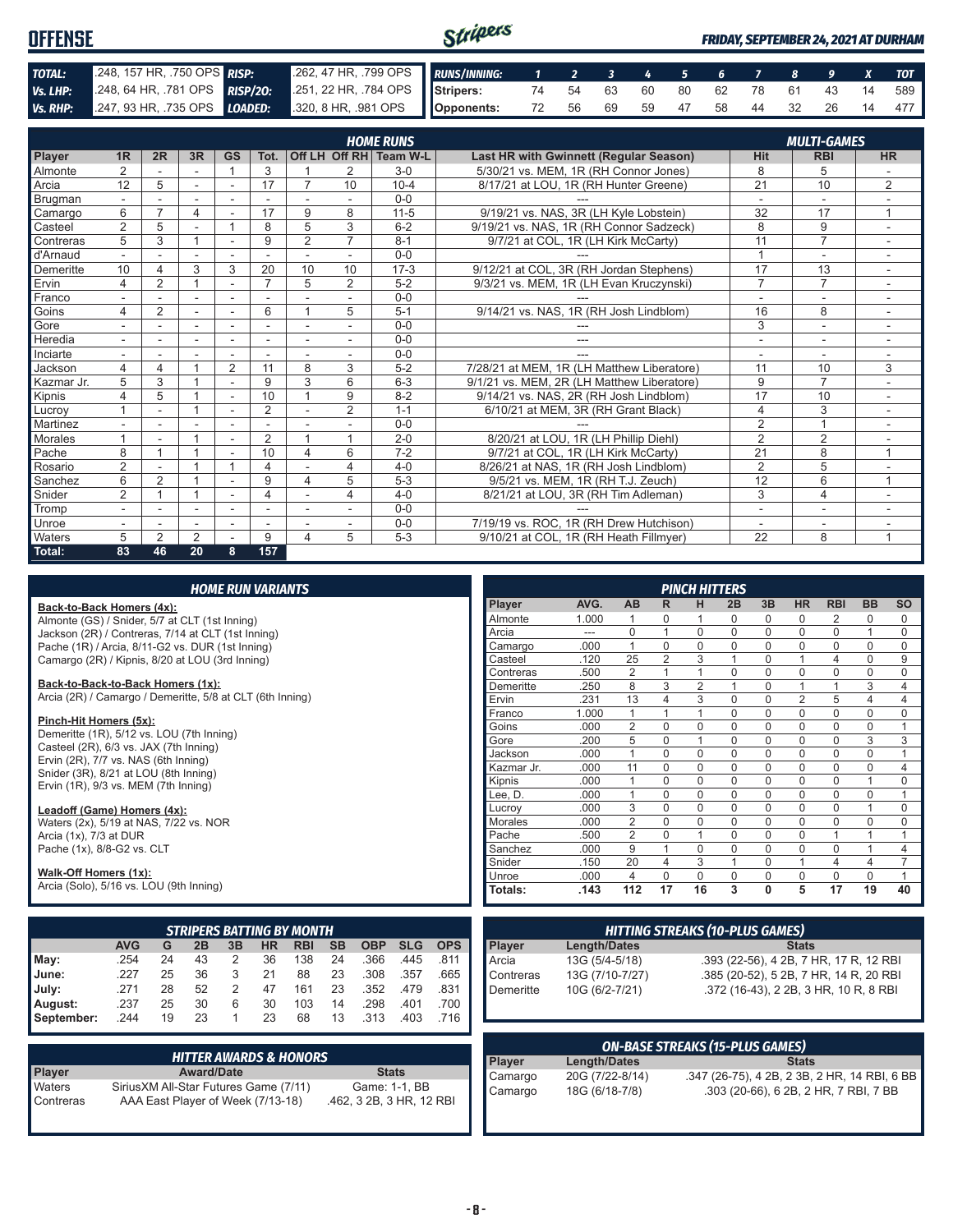| <b>OFFENSE</b> |                            |                                                                                                       |  |  |  | <b>FRIDAY, SEPTEMBER 24, 2021 AT DURHAM</b> |  |  |
|----------------|----------------------------|-------------------------------------------------------------------------------------------------------|--|--|--|---------------------------------------------|--|--|
| TOTAL:         | 248, 157 HR, 750 OPS RISP: | 262, 47 HR, 799 OPS RUNS/INNING: 1 2 3 4 5 6 7 8 9 X TOT                                              |  |  |  |                                             |  |  |
| Vs. LHP:       |                            | 248, 64 HR, 781 OPS RISP/20: 251, 22 HR, 784 OPS Stripers: 74 54 63 60 80 62 78 61 43 14 589          |  |  |  |                                             |  |  |
|                |                            | VS.RHP: 247, 93 HR, 735 OPS LOADED: 320, 8 HR, 981 OPS   Opponents: 72 56 69 59 47 58 44 32 26 14 477 |  |  |  |                                             |  |  |

|            |                |                          |                          |                |                |                          |                          | <b>HOME RUNS</b>       |                                               |                 | <b>MULTI-GAMES</b> |                |
|------------|----------------|--------------------------|--------------------------|----------------|----------------|--------------------------|--------------------------|------------------------|-----------------------------------------------|-----------------|--------------------|----------------|
| Player     | 1 <sub>R</sub> | 2R                       | 3R                       | <b>GS</b>      | Tot.           |                          |                          | Off LH Off RH Team W-L | <b>Last HR with Gwinnett (Regular Season)</b> | <b>Hit</b>      | <b>RBI</b>         | <b>HR</b>      |
| Almonte    | $\overline{2}$ |                          | ٠                        |                | 3              |                          | $\overline{2}$           | $3-0$                  | 5/30/21 vs. MEM, 1R (RH Connor Jones)         | 8               | 5                  |                |
| Arcia      | 12             | 5                        |                          | $\sim$         | 17             | $\overline{7}$           | 10                       | $10 - 4$               | 8/17/21 at LOU, 1R (RH Hunter Greene)         | $\overline{21}$ | 10                 | 2              |
| Brugman    |                |                          |                          |                |                |                          |                          | $0 - 0$                |                                               |                 |                    |                |
| Camargo    | 6              | $\overline{ }$           | 4                        |                | 17             | 9                        | 8                        | $11 - 5$               | 9/19/21 vs. NAS, 3R (LH Kyle Lobstein)        | 32              | 17                 | $\mathbf{1}$   |
| Casteel    | $\overline{2}$ | 5                        |                          |                | 8              | 5                        | 3                        | $6 - 2$                | 9/19/21 vs. NAS, 1R (RH Connor Sadzeck)       | 8               | 9                  |                |
| Contreras  | 5              | 3                        |                          | $\overline{a}$ | 9              | $\overline{2}$           | $\overline{7}$           | $8 - 1$                | 9/7/21 at COL, 1R (LH Kirk McCarty)           | 11              | $\overline{7}$     |                |
| d'Arnaud   |                |                          |                          |                |                | $\sim$                   | $\sim$                   | $0 - 0$                |                                               |                 | ٠                  |                |
| Demeritte  | 10             |                          | 3                        | 3              | 20             | 10                       | 10                       | $17-3$                 | 9/12/21 at COL, 3R (RH Jordan Stephens)       | 17              | 13                 |                |
| Ervin      | 4              | 2                        |                          |                | $\overline{7}$ | 5                        | $\overline{2}$           | $5 - 2$                | 9/3/21 vs. MEM, 1R (LH Evan Kruczynski)       | $\overline{7}$  | $\overline{7}$     |                |
| Franco     |                |                          |                          |                |                |                          |                          | $0 - 0$                |                                               |                 | ۰                  |                |
| Goins      | 4              | 2                        | ٠                        |                | 6              |                          | 5                        | $5 - 1$                | 9/14/21 vs. NAS, 1R (RH Josh Lindblom)        | 16              | 8                  |                |
| Gore       |                |                          |                          |                |                |                          |                          | $0 - 0$                |                                               | 3               | ٠                  |                |
| Heredia    |                | $\overline{\phantom{a}}$ | $\sim$                   | ٠              | ٠              | $\overline{\phantom{a}}$ | $\overline{\phantom{a}}$ | $0 - 0$                | ---                                           | ٠               | ۰                  | ٠              |
| Inciarte   |                |                          |                          |                |                |                          |                          | $0 - 0$                |                                               |                 |                    |                |
| Jackson    | 4              | $\overline{4}$           |                          | $\overline{2}$ | 11             | 8                        | 3                        | $5 - 2$                | 7/28/21 at MEM. 1R (LH Matthew Liberatore)    | 11              | 10                 | 3              |
| Kazmar Jr. | 5              | 3                        |                          | ٠              | 9              | 3                        | 6                        | $6 - 3$                | 9/1/21 vs. MEM, 2R (LH Matthew Liberatore)    | 9               | $\overline{7}$     |                |
| Kipnis     | 4              | 5                        |                          |                | 10             |                          | 9                        | $8 - 2$                | 9/14/21 vs. NAS, 2R (RH Josh Lindblom)        | 17              | 10                 |                |
| Lucrov     |                |                          |                          | ٠              | 2              |                          | 2                        | $1 - 1$                | 6/10/21 at MEM, 3R (RH Grant Black)           | $\overline{4}$  | 3                  |                |
| Martinez   |                |                          |                          | ٠              |                |                          |                          | $0 - 0$                |                                               | $\overline{2}$  |                    |                |
| Morales    |                |                          |                          |                | $\overline{2}$ |                          | 1                        | $2 - 0$                | 8/20/21 at LOU, 1R (LH Phillip Diehl)         | $\overline{2}$  | 2                  |                |
| Pache      | 8              |                          |                          |                | 10             | 4                        | 6                        | $7 - 2$                | 9/7/21 at COL, 1R (LH Kirk McCarty)           | 21              | 8                  | 1              |
| Rosario    | $\overline{2}$ |                          |                          |                | 4              |                          | 4                        | $4 - 0$                | 8/26/21 at NAS, 1R (RH Josh Lindblom)         | $\overline{2}$  | 5                  |                |
| Sanchez    | 6              | 2                        |                          | $\sim$         | 9              | 4                        | 5                        | $5 - 3$                | 9/5/21 vs. MEM, 1R (RH T.J. Zeuch)            | $\overline{12}$ | 6                  | $\overline{1}$ |
| Snider     | $\overline{2}$ |                          |                          |                | 4              | $\sim$                   | 4                        | $4 - 0$                | 8/21/21 at LOU, 3R (RH Tim Adleman)           | 3               | $\overline{4}$     |                |
| Tromp      |                |                          | $\overline{\phantom{a}}$ | ٠              |                | ٠                        |                          | $0 - 0$                |                                               |                 | ۰                  |                |
| Unroe      |                |                          |                          | $\overline{a}$ |                |                          |                          | $0 - 0$                | 7/19/19 vs. ROC, 1R (RH Drew Hutchison)       | $\overline{a}$  | ۰                  |                |
| Waters     | 5              | 2                        | $\overline{2}$           |                | 9              | 4                        | 5                        | $5 - 3$                | 9/10/21 at COL. 1R (RH Heath Fillmyer)        | 22              | 8                  | 1              |
| Total:     | 83             | 46                       | 20                       | 8              | 157            |                          |                          |                        |                                               |                 |                    |                |

|  |  | <b>HOME RUN VARIANTS</b> |  |
|--|--|--------------------------|--|
|  |  |                          |  |

**Back-to-Back Homers (4x):** Almonte (GS) / Snider, 5/7 at CLT (1st Inning) Jackson (2R) / Contreras, 7/14 at CLT (1st Inning) Pache (1R) / Arcia, 8/11-G2 vs. DUR (1st Inning) Camargo (2R) / Kipnis, 8/20 at LOU (3rd Inning)

#### **Back-to-Back-to-Back Homers (1x):**

Arcia (2R) / Camargo / Demeritte, 5/8 at CLT (6th Inning)

#### **Pinch-Hit Homers (5x):**

Demeritte (1R), 5/12 vs. LOU (7th Inning) Casteel (2R), 6/3 vs. JAX (7th Inning) Ervin (2R), 7/7 vs. NAS (6th Inning) Snider (3R), 8/21 at LOU (8th Inning) Ervin (1R), 9/3 vs. MEM (7th Inning)

#### **Leadoff (Game) Homers (4x):**

Waters (2x), 5/19 at NAS, 7/22 vs. NOR Arcia  $(1x)$ ,  $7/3$  at DUR Pache (1x), 8/8-G2 vs. CLT

#### **Walk-Off Homers (1x):**

Arcia (Solo), 5/16 vs. LOU (9th Inning)

|            |            |    |    |    |    | <b>STRIPERS BATTING BY MONTH</b> |           |            |            |            |
|------------|------------|----|----|----|----|----------------------------------|-----------|------------|------------|------------|
|            | <b>AVG</b> | G  | 2B | 3B | HR | <b>RBI</b>                       | <b>SB</b> | <b>OBP</b> | <b>SLG</b> | <b>OPS</b> |
| May:       | .254       | 24 | 43 | 2  | 36 | 138                              | 24        | .366       | .445       | .811       |
| June:      | .227       | 25 | 36 | 3  | 21 | 88                               | 23        | .308       | .357       | .665       |
| July:      | .271       | 28 | 52 | 2  | 47 | 161                              | 23        | .352       | .479       | .831       |
| August:    | .237       | 25 | 30 | 6  | 30 | 103                              | 14        | .298       | .401       | .700       |
| September: | .244       | 19 | 23 |    | 23 | 68                               | 13        | .313       | .403       | 716        |

|                     | <b>HITTER AWARDS &amp; HONORS</b>                                           |                                           |
|---------------------|-----------------------------------------------------------------------------|-------------------------------------------|
| <b>Player</b>       | <b>Award/Date</b>                                                           | <b>Stats</b>                              |
| Waters<br>Contreras | Sirius XM All-Star Futures Game (7/11)<br>AAA East Player of Week (7/13-18) | Game: 1-1, BB<br>.462, 3 2B, 3 HR, 12 RBI |

|                |       |                |                | <b>PINCH HITTERS</b> |             |              |                |                |           |           |
|----------------|-------|----------------|----------------|----------------------|-------------|--------------|----------------|----------------|-----------|-----------|
| Player         | AVG.  | <b>AB</b>      | R              | н                    | 2B          | 3B           | <b>HR</b>      | <b>RBI</b>     | <b>BB</b> | <b>SO</b> |
| Almonte        | 1.000 | 1              | 0              | 1                    | $\Omega$    | $\Omega$     | $\Omega$       | $\overline{2}$ | 0         | 0         |
| Arcia          |       | $\Omega$       | 1              | $\Omega$             | $\Omega$    | $\Omega$     | $\Omega$       | $\Omega$       | 1         | 0         |
| Camargo        | .000  | 1              | $\Omega$       | $\Omega$             | $\Omega$    | $\Omega$     | $\mathbf 0$    | $\Omega$       | $\Omega$  | 0         |
| Casteel        | .120  | 25             | $\overline{2}$ | 3                    | 1           | $\Omega$     | 1              | $\overline{4}$ | $\Omega$  | 9         |
| Contreras      | .500  | $\overline{2}$ | 1              | 1                    | $\Omega$    | $\Omega$     | $\Omega$       | $\Omega$       | 0         | 0         |
| Demeritte      | .250  | 8              | 3              | $\overline{2}$       | 1           | $\Omega$     | 1              | 1              | 3         | 4         |
| Ervin          | .231  | 13             | 4              | 3                    | $\Omega$    | $\Omega$     | $\overline{2}$ | 5              | 4         | 4         |
| Franco         | 1.000 | 1              | 1              | 1                    | 0           | $\mathbf 0$  | $\mathbf 0$    | $\mathbf 0$    | 0         | 0         |
| Goins          | .000  | $\overline{2}$ | 0              | $\mathbf 0$          | $\mathbf 0$ | $\mathbf 0$  | $\mathbf 0$    | $\mathbf 0$    | 0         | 1         |
| Gore           | .200  | 5              | $\Omega$       | 1                    | $\Omega$    | $\Omega$     | $\mathbf 0$    | $\Omega$       | 3         | 3         |
| Jackson        | .000  | 1              | $\Omega$       | $\Omega$             | $\Omega$    | $\Omega$     | $\Omega$       | $\Omega$       | $\Omega$  | 1         |
| Kazmar Jr.     | .000  | 11             | $\Omega$       | $\Omega$             | $\Omega$    | $\Omega$     | $\Omega$       | $\Omega$       | $\Omega$  | 4         |
| Kipnis         | .000  | 1              | $\Omega$       | $\Omega$             | 0           | $\Omega$     | $\mathbf 0$    | $\Omega$       | 1         | 0         |
| Lee, D.        | .000  | 1              | $\Omega$       | $\Omega$             | $\Omega$    | $\Omega$     | $\Omega$       | $\Omega$       | $\Omega$  | 1         |
| Lucrov         | .000  | 3              | $\Omega$       | $\Omega$             | 0           | $\Omega$     | $\mathbf 0$    | $\Omega$       | 1         | $\Omega$  |
| <b>Morales</b> | .000  | $\overline{2}$ | $\Omega$       | $\Omega$             | $\Omega$    | $\Omega$     | $\Omega$       | $\Omega$       | $\Omega$  | 0         |
| Pache          | .500  | $\overline{2}$ | $\Omega$       | 1                    | 0           | $\Omega$     | $\Omega$       | 1              | 1         | 1         |
| Sanchez        | .000  | 9              | 1              | $\Omega$             | $\Omega$    | $\Omega$     | $\mathbf 0$    | $\Omega$       | 1         | 4         |
| Snider         | .150  | 20             | 4              | 3                    | 1           | $\Omega$     | 1              | 4              | 4         | 7         |
| Unroe          | .000  | 4              | $\Omega$       | $\Omega$             | 0           | $\Omega$     | $\Omega$       | $\Omega$       | $\Omega$  | 1         |
| Totals:        | .143  | 112            | 17             | 16                   | 3           | $\mathbf{0}$ | 5              | 17             | 19        | 40        |

| <b>Length/Dates</b> | <b>Stats</b>                                        |
|---------------------|-----------------------------------------------------|
|                     | .393 (22-56), 4 2B, 7 HR, 17 R, 12 RBI              |
|                     | .385 (20-52), 5 2B, 7 HR, 14 R, 20 RBI              |
|                     | .372 (16-43), 2 2B, 3 HR, 10 R, 8 RBI               |
|                     | 13G (5/4-5/18)<br>13G (7/10-7/27)<br>10G (6/2-7/21) |

| <b>ON-BASE STREAKS (15-PLUS GAMES)</b> |                 |                                              |  |  |  |  |  |  |
|----------------------------------------|-----------------|----------------------------------------------|--|--|--|--|--|--|
|                                        | Length/Dates    | <b>Stats</b>                                 |  |  |  |  |  |  |
| Player<br>Camargo                      | 20G (7/22-8/14) | .347 (26-75), 4 2B, 2 3B, 2 HR, 14 RBI, 6 BB |  |  |  |  |  |  |
| Camargo                                | 18G (6/18-7/8)  | .303 (20-66), 6 2B, 2 HR, 7 RBI, 7 BB        |  |  |  |  |  |  |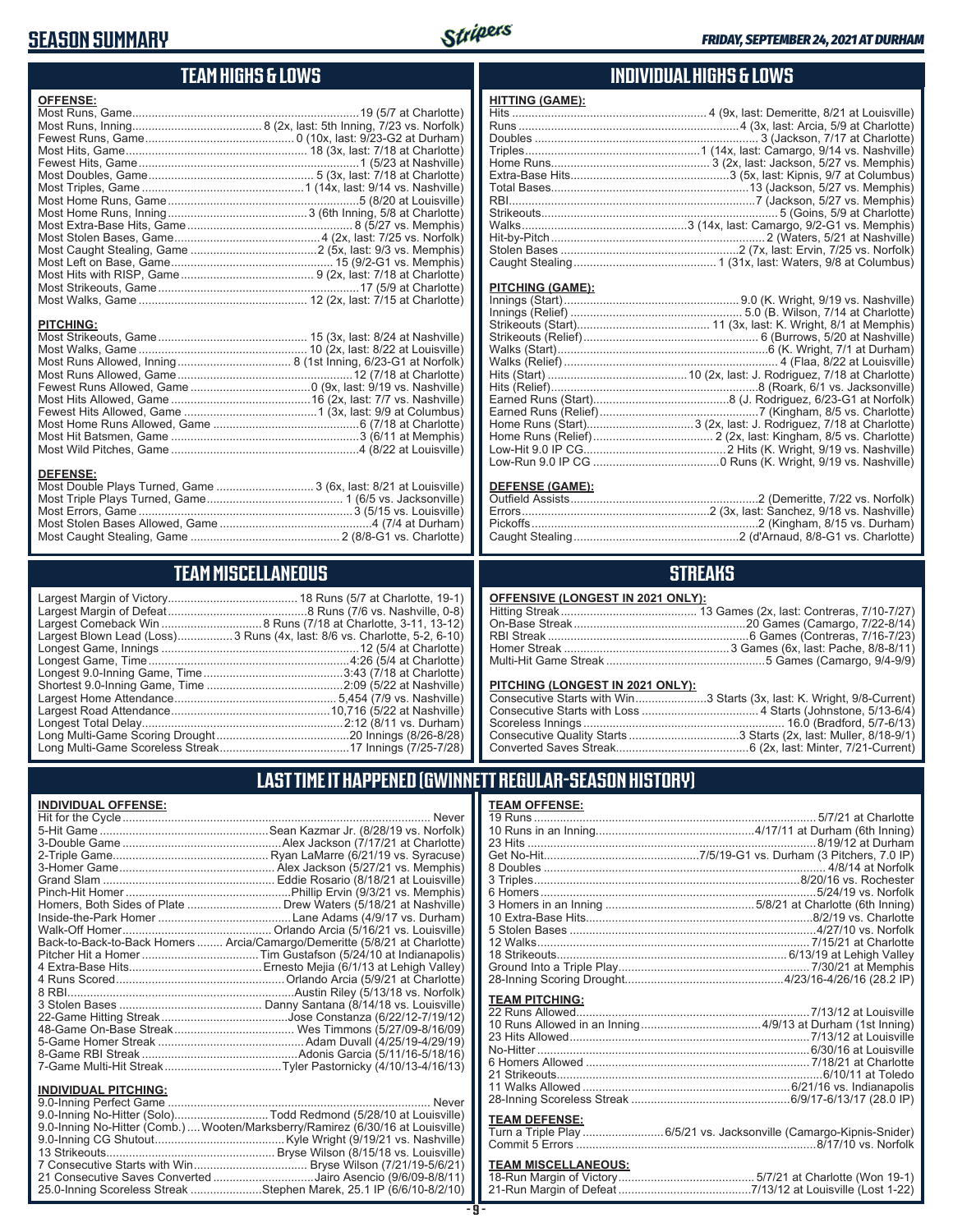### **SEASON SUMMARY**



### **TEAM HIGHS & LOWS**

| <b>OFFENSE:</b>                                                                     |  |
|-------------------------------------------------------------------------------------|--|
|                                                                                     |  |
|                                                                                     |  |
| <b>PITCHING:</b>                                                                    |  |
|                                                                                     |  |
| <b>DEFENSE:</b><br>Most Double Plays Turned, Game  3 (6x, last: 8/21 at Louisville) |  |

Most Triple Plays Turned, Game .......................................... 1 (6/5 vs. Jacksonville) Most Errors, Game ..................................................................3 (5/15 vs. Louisville) Most Stolen Bases Allowed, Game ...............................................4 (7/4 at Durham) Most Caught Stealing, Game .............................................. 2 (8/8-G1 vs. Charlotte)

**TEAM MISCELLANEOUS**

### **INDIVIDUAL HIGHS & LOWS**

| <b>HITTING (GAME):</b> |  |
|------------------------|--|
|                        |  |
|                        |  |
|                        |  |
|                        |  |
|                        |  |
|                        |  |
|                        |  |
|                        |  |
|                        |  |
|                        |  |
|                        |  |
|                        |  |
|                        |  |
|                        |  |

#### **PITCHING (GAME):**

#### **DEFENSE (GAME):**

#### **STREAKS**

#### **OFFENSIVE (LONGEST IN 2021 ONLY):**

#### **PITCHING (LONGEST IN 2021 ONLY):**

| Consecutive Starts with Win3 Starts (3x, last: K. Wright, 9/8-Current) |
|------------------------------------------------------------------------|
|                                                                        |
|                                                                        |
|                                                                        |
|                                                                        |

### **LAST TIME IT HAPPENED (GWINNETT REGULAR-SEASON HISTORY)**

| <b>TEAM OFFENSE:</b>  |                                                                                                                                                                                                                                                                                                                                 |
|-----------------------|---------------------------------------------------------------------------------------------------------------------------------------------------------------------------------------------------------------------------------------------------------------------------------------------------------------------------------|
|                       |                                                                                                                                                                                                                                                                                                                                 |
|                       |                                                                                                                                                                                                                                                                                                                                 |
|                       |                                                                                                                                                                                                                                                                                                                                 |
|                       |                                                                                                                                                                                                                                                                                                                                 |
|                       |                                                                                                                                                                                                                                                                                                                                 |
|                       |                                                                                                                                                                                                                                                                                                                                 |
|                       |                                                                                                                                                                                                                                                                                                                                 |
|                       |                                                                                                                                                                                                                                                                                                                                 |
|                       |                                                                                                                                                                                                                                                                                                                                 |
|                       |                                                                                                                                                                                                                                                                                                                                 |
|                       |                                                                                                                                                                                                                                                                                                                                 |
|                       |                                                                                                                                                                                                                                                                                                                                 |
|                       |                                                                                                                                                                                                                                                                                                                                 |
|                       |                                                                                                                                                                                                                                                                                                                                 |
|                       |                                                                                                                                                                                                                                                                                                                                 |
| <b>TEAM PITCHING:</b> |                                                                                                                                                                                                                                                                                                                                 |
|                       |                                                                                                                                                                                                                                                                                                                                 |
|                       |                                                                                                                                                                                                                                                                                                                                 |
|                       |                                                                                                                                                                                                                                                                                                                                 |
|                       |                                                                                                                                                                                                                                                                                                                                 |
|                       |                                                                                                                                                                                                                                                                                                                                 |
|                       |                                                                                                                                                                                                                                                                                                                                 |
|                       |                                                                                                                                                                                                                                                                                                                                 |
|                       |                                                                                                                                                                                                                                                                                                                                 |
|                       |                                                                                                                                                                                                                                                                                                                                 |
| <b>TEAM DEFENSE:</b>  |                                                                                                                                                                                                                                                                                                                                 |
|                       | $\alpha = 10.1$ $\alpha = 10.1$ $\alpha = 10.1$ $\alpha = 10.1$ $\alpha = 10.1$ $\alpha = 10.1$ $\alpha = 10.1$ $\alpha = 10.1$ $\alpha = 10.1$ $\alpha = 10.1$ $\alpha = 10.1$ $\alpha = 10.1$ $\alpha = 10.1$ $\alpha = 10.1$ $\alpha = 10.1$ $\alpha = 10.1$ $\alpha = 10.1$ $\alpha = 10.1$ $\alpha = 10.1$ $\alpha = 10.1$ |

| Turn a Triple Play 6/5/21 vs. Jacksonville (Camargo-Kipnis-Snider) |  |  |
|--------------------------------------------------------------------|--|--|
|                                                                    |  |  |

## **TEAM MISCELLANEOUS:**<br>18-Run Margin of Victory....

| 21-Run Margin of Defeat…………………………………7/13/12 at Louisville (Lost 1-22) |
|-----------------------------------------------------------------------|

Longest Game, Innings .............................................................12 (5/4 at Charlotte) Longest Game, Time ..............................................................4:26 (5/4 at Charlotte) Longest 9.0-Inning Game, Time ...........................................3:43 (7/18 at Charlotte) Shortest 9.0-Inning Game, Time ..........................................2:09 (5/22 at Nashville) Largest Home Attendance .................................................. 5,454 (7/9 vs. Nashville) Largest Road Attendance .................................................10,716 (5/22 at Nashville) Longest Total Delay..............................................................2:12 (8/11 vs. Durham) Long Multi-Game Scoring Drought .........................................20 Innings (8/26-8/28)

Largest Margin of Victory........................................ 18 Runs (5/7 at Charlotte, 19-1) Largest Margin of Defeat ...........................................8 Runs (7/6 vs. Nashville, 0-8) Largest Comeback Win ...............................8 Runs (7/18 at Charlotte, 3-11, 13-12) Largest Blown Lead (Loss).................3 Runs (4x, last: 8/6 vs. Charlotte, 5-2, 6-10) Long Multi-Game Scoreless Streak ........................................17 Innings (7/25-7/28)

| Never                                                                      |
|----------------------------------------------------------------------------|
|                                                                            |
|                                                                            |
|                                                                            |
|                                                                            |
|                                                                            |
|                                                                            |
|                                                                            |
|                                                                            |
|                                                                            |
| Back-to-Back-to-Back Homers  Arcia/Camargo/Demeritte (5/8/21 at Charlotte) |
|                                                                            |
|                                                                            |
|                                                                            |
|                                                                            |
|                                                                            |
|                                                                            |
|                                                                            |
|                                                                            |
|                                                                            |
| 7-Game Multi-Hit Streak………………………………Tyler Pastornicky (4/10/13-4/16/13)     |

**INDIVIDUAL OFFENSE:**

#### **INDIVIDUAL PITCHING:**

| 9.0-Inning No-Hitter (Solo)Todd Redmond (5/28/10 at Louisville)                |  |
|--------------------------------------------------------------------------------|--|
| 9.0-Inning No-Hitter (Comb.) Wooten/Marksberry/Ramirez (6/30/16 at Louisville) |  |
|                                                                                |  |
|                                                                                |  |
|                                                                                |  |
| 21 Consecutive Saves Converted Jairo Asencio (9/6/09-8/8/11)                   |  |
| 25.0-Inning Scoreless Streak Stephen Marek, 25.1 IP (6/6/10-8/2/10)            |  |